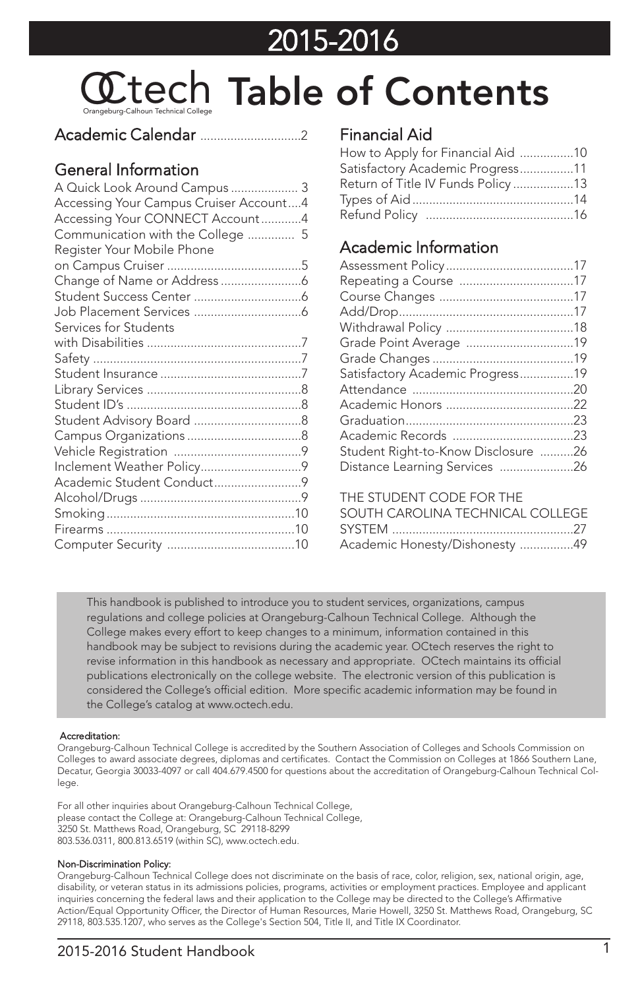## 2015-2016

# **CO**tents Contents

#### Academic Calendar ..............................2

#### General Information

| A Quick Look Around Campus  3          |  |
|----------------------------------------|--|
| Accessing Your Campus Cruiser Account4 |  |
| Accessing Your CONNECT Account4        |  |
| Communication with the College  5      |  |
| Register Your Mobile Phone             |  |
|                                        |  |
|                                        |  |
|                                        |  |
|                                        |  |
| Services for Students                  |  |
|                                        |  |
|                                        |  |
|                                        |  |
|                                        |  |
|                                        |  |
|                                        |  |
|                                        |  |
|                                        |  |
|                                        |  |
| Academic Student Conduct9              |  |
|                                        |  |
|                                        |  |
|                                        |  |
|                                        |  |
|                                        |  |

#### Financial Aid

| How to Apply for Financial Aid 10 |  |
|-----------------------------------|--|
| Satisfactory Academic Progress11  |  |
| Return of Title IV Funds Policy13 |  |
|                                   |  |
|                                   |  |

#### Academic Information

| Satisfactory Academic Progress19    |  |
|-------------------------------------|--|
|                                     |  |
|                                     |  |
|                                     |  |
|                                     |  |
| Student Right-to-Know Disclosure 26 |  |
| Distance Learning Services 26       |  |

#### THE STUDENT CODE FOR THE

| SOUTH CAROLINA TECHNICAL COLLEGE |  |
|----------------------------------|--|
|                                  |  |
| Academic Honesty/Dishonesty 49   |  |

This handbook is published to introduce you to student services, organizations, campus regulations and college policies at Orangeburg-Calhoun Technical College. Although the College makes every effort to keep changes to a minimum, information contained in this handbook may be subject to revisions during the academic year. OCtech reserves the right to revise information in this handbook as necessary and appropriate. OCtech maintains its official publications electronically on the college website. The electronic version of this publication is considered the College's official edition. More specific academic information may be found in the College's catalog at www.octech.edu.

#### Accreditation:

Orangeburg-Calhoun Technical College is accredited by the Southern Association of Colleges and Schools Commission on Colleges to award associate degrees, diplomas and certificates. Contact the Commission on Colleges at 1866 Southern Lane, Decatur, Georgia 30033-4097 or call 404.679.4500 for questions about the accreditation of Orangeburg-Calhoun Technical College.

For all other inquiries about Orangeburg-Calhoun Technical College, please contact the College at: Orangeburg-Calhoun Technical College, 3250 St. Matthews Road, Orangeburg, SC 29118-8299 803.536.0311, 800.813.6519 (within SC), www.octech.edu.

#### Non-Discrimination Policy:

Orangeburg-Calhoun Technical College does not discriminate on the basis of race, color, religion, sex, national origin, age, disability, or veteran status in its admissions policies, programs, activities or employment practices. Employee and applicant inquiries concerning the federal laws and their application to the College may be directed to the College's Affirmative Action/Equal Opportunity Officer, the Director of Human Resources, Marie Howell, 3250 St. Matthews Road, Orangeburg, SC 29118, 803.535.1207, who serves as the College's Section 504, Title II, and Title IX Coordinator.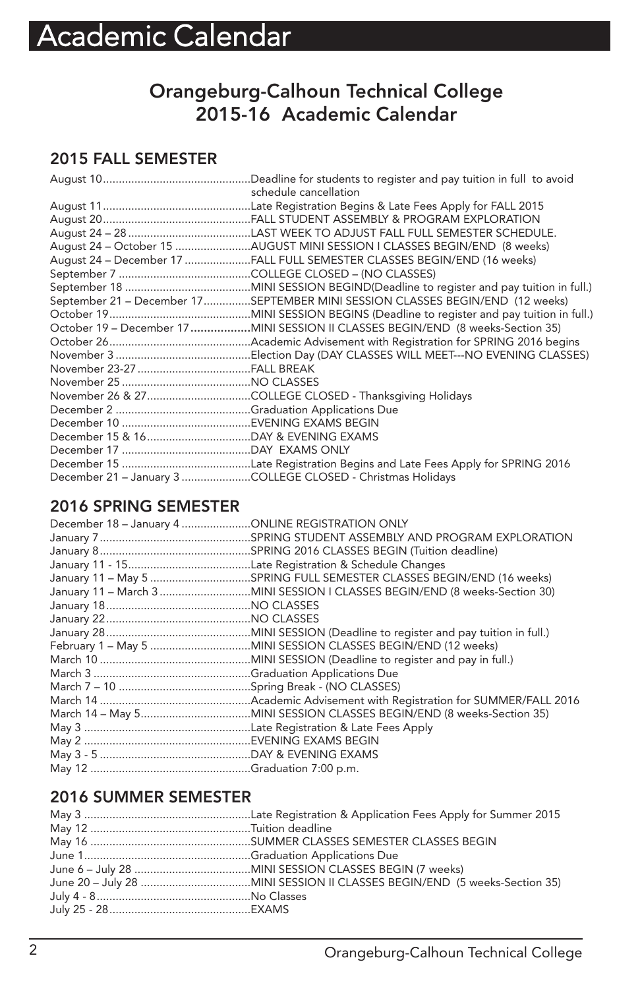### **Orangeburg-Calhoun Technical College 2015-16 Academic Calendar**

#### **2015 FALL SEMESTER**

| schedule cancellation                                                           |
|---------------------------------------------------------------------------------|
|                                                                                 |
|                                                                                 |
|                                                                                 |
| August 24 - October 15 AUGUST MINI SESSION I CLASSES BEGIN/END (8 weeks)        |
| August 24 - December 17 FALL FULL SEMESTER CLASSES BEGIN/END (16 weeks)         |
|                                                                                 |
|                                                                                 |
| September 21 - December 17SEPTEMBER MINI SESSION CLASSES BEGIN/END (12 weeks)   |
|                                                                                 |
| October 19 - December 17 MINI SESSION II CLASSES BEGIN/END (8 weeks-Section 35) |
|                                                                                 |
|                                                                                 |
|                                                                                 |
|                                                                                 |
|                                                                                 |
|                                                                                 |
|                                                                                 |
|                                                                                 |
|                                                                                 |
|                                                                                 |
| December 21 - January 3 COLLEGE CLOSED - Christmas Holidays                     |

#### **2016 SPRING SEMESTER**

| December 18 - January 4 ONLINE REGISTRATION ONLY |                                                                      |
|--------------------------------------------------|----------------------------------------------------------------------|
|                                                  |                                                                      |
|                                                  |                                                                      |
|                                                  |                                                                      |
|                                                  | January 11 - May 5 SPRING FULL SEMESTER CLASSES BEGIN/END (16 weeks) |
|                                                  |                                                                      |
|                                                  |                                                                      |
|                                                  |                                                                      |
|                                                  |                                                                      |
|                                                  |                                                                      |
|                                                  |                                                                      |
|                                                  |                                                                      |
|                                                  |                                                                      |
|                                                  |                                                                      |
|                                                  |                                                                      |
|                                                  |                                                                      |
|                                                  |                                                                      |
|                                                  |                                                                      |
|                                                  |                                                                      |
|                                                  |                                                                      |

#### **2016 SUMMER SEMESTER**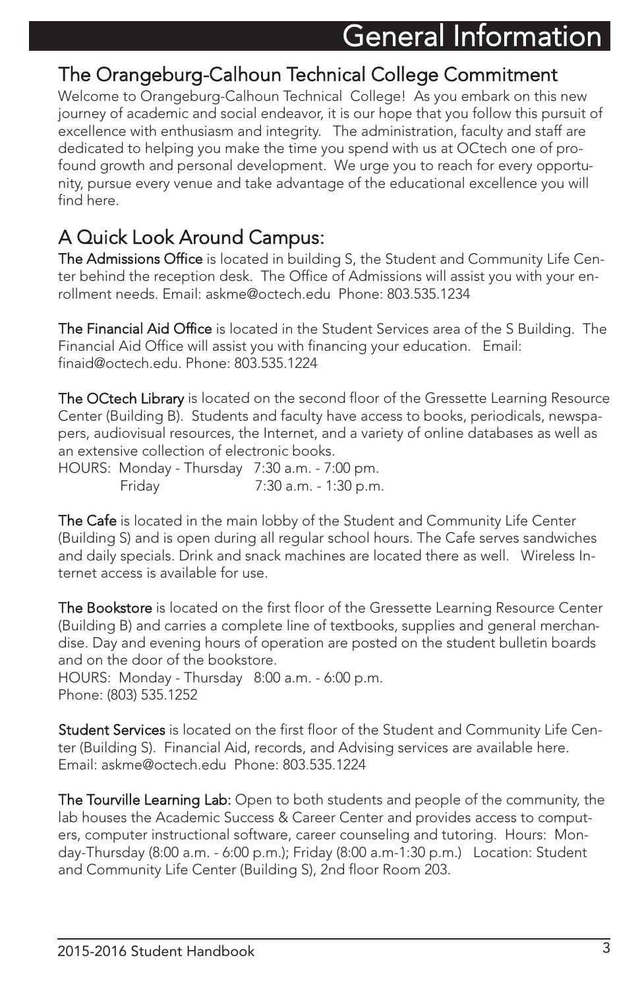### The Orangeburg-Calhoun Technical College Commitment

Welcome to Orangeburg-Calhoun Technical College! As you embark on this new journey of academic and social endeavor, it is our hope that you follow this pursuit of excellence with enthusiasm and integrity. The administration, faculty and staff are dedicated to helping you make the time you spend with us at OCtech one of profound growth and personal development. We urge you to reach for every opportunity, pursue every venue and take advantage of the educational excellence you will find here.

### A Quick Look Around Campus:

The Admissions Office is located in building S, the Student and Community Life Center behind the reception desk. The Office of Admissions will assist you with your enrollment needs. Email: askme@octech.edu Phone: 803.535.1234

The Financial Aid Office is located in the Student Services area of the S Building. The Financial Aid Office will assist you with financing your education. Email: finaid@octech.edu. Phone: 803.535.1224

The OCtech Library is located on the second floor of the Gressette Learning Resource Center (Building B). Students and faculty have access to books, periodicals, newspapers, audiovisual resources, the Internet, and a variety of online databases as well as an extensive collection of electronic books.

HOURS: Monday - Thursday 7:30 a.m. - 7:00 pm. Friday 7:30 a.m. - 1:30 p.m.

**The Cafe** is located in the main lobby of the Student and Community Life Center (Building S) and is open during all regular school hours. The Cafe serves sandwiches and daily specials. Drink and snack machines are located there as well. Wireless Internet access is available for use.

**The Bookstore** is located on the first floor of the Gressette Learning Resource Center (Building B) and carries a complete line of textbooks, supplies and general merchandise. Day and evening hours of operation are posted on the student bulletin boards and on the door of the bookstore. HOURS: Monday - Thursday 8:00 a.m. - 6:00 p.m.

Phone: (803) 535.1252

Student Services is located on the first floor of the Student and Community Life Center (Building S). Financial Aid, records, and Advising services are available here. Email: askme@octech.edu Phone: 803.535.1224

The Tourville Learning Lab: Open to both students and people of the community, the lab houses the Academic Success & Career Center and provides access to computers, computer instructional software, career counseling and tutoring. Hours: Monday-Thursday (8:00 a.m. - 6:00 p.m.); Friday (8:00 a.m-1:30 p.m.) Location: Student and Community Life Center (Building S), 2nd floor Room 203.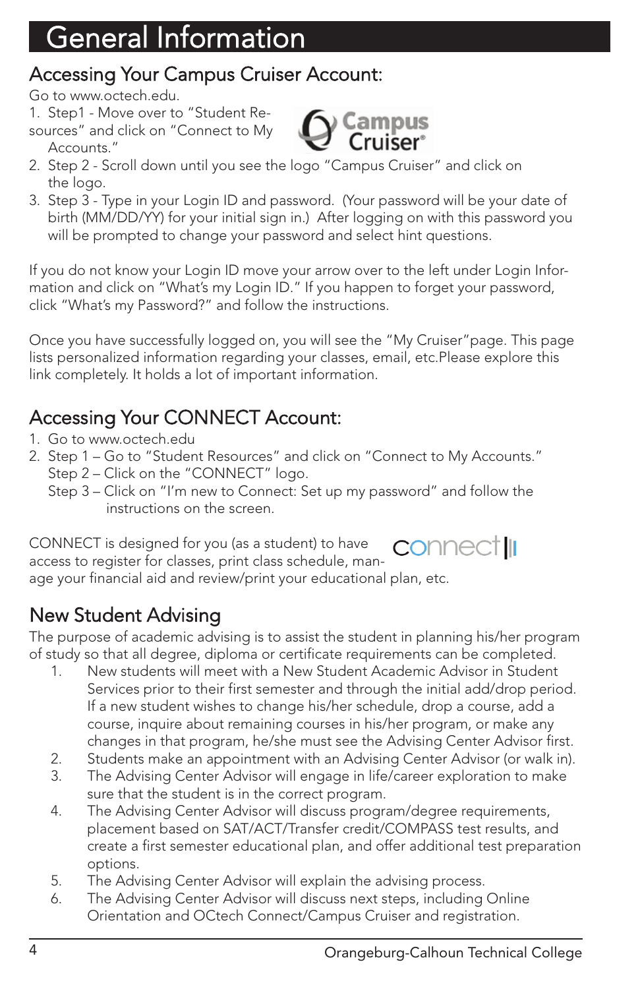### Accessing Your Campus Cruiser Account:

Go to www.octech.edu.

- 1. Step1 Move over to "Student Re-
- sources" and click on "Connect to My Accounts."



- 2. Step 2 Scroll down until you see the logo "Campus Cruiser" and click on the logo.
- 3. Step 3 Type in your Login ID and password. (Your password will be your date of birth (MM/DD/YY) for your initial sign in.) After logging on with this password you will be prompted to change your password and select hint questions.

If you do not know your Login ID move your arrow over to the left under Login Information and click on "What's my Login ID." If you happen to forget your password, click "What's my Password?" and follow the instructions.

Once you have successfully logged on, you will see the "My Cruiser"page. This page lists personalized information regarding your classes, email, etc.Please explore this link completely. It holds a lot of important information.

### Accessing Your CONNECT Account:

- 1. Go to www.octech.edu
- 2. Step 1 Go to "Student Resources" and click on "Connect to My Accounts." Step 2 – Click on the "CONNECT" logo.
	- Step 3 Click on "I'm new to Connect: Set up my password" and follow the instructions on the screen.

CONNECT is designed for you (as a student) to have **CONNECT III** access to register for classes, print class schedule, manage your financial aid and review/print your educational plan, etc.

### New Student Advising

The purpose of academic advising is to assist the student in planning his/her program of study so that all degree, diploma or certificate requirements can be completed.

- 1. New students will meet with a New Student Academic Advisor in Student Services prior to their first semester and through the initial add/drop period. If a new student wishes to change his/her schedule, drop a course, add a course, inquire about remaining courses in his/her program, or make any changes in that program, he/she must see the Advising Center Advisor first.
- 2. Students make an appointment with an Advising Center Advisor (or walk in).
- 3. The Advising Center Advisor will engage in life/career exploration to make sure that the student is in the correct program.
- 4. The Advising Center Advisor will discuss program/degree requirements, placement based on SAT/ACT/Transfer credit/COMPASS test results, and create a first semester educational plan, and offer additional test preparation options.
- 5. The Advising Center Advisor will explain the advising process.
- 6. The Advising Center Advisor will discuss next steps, including Online Orientation and OCtech Connect/Campus Cruiser and registration.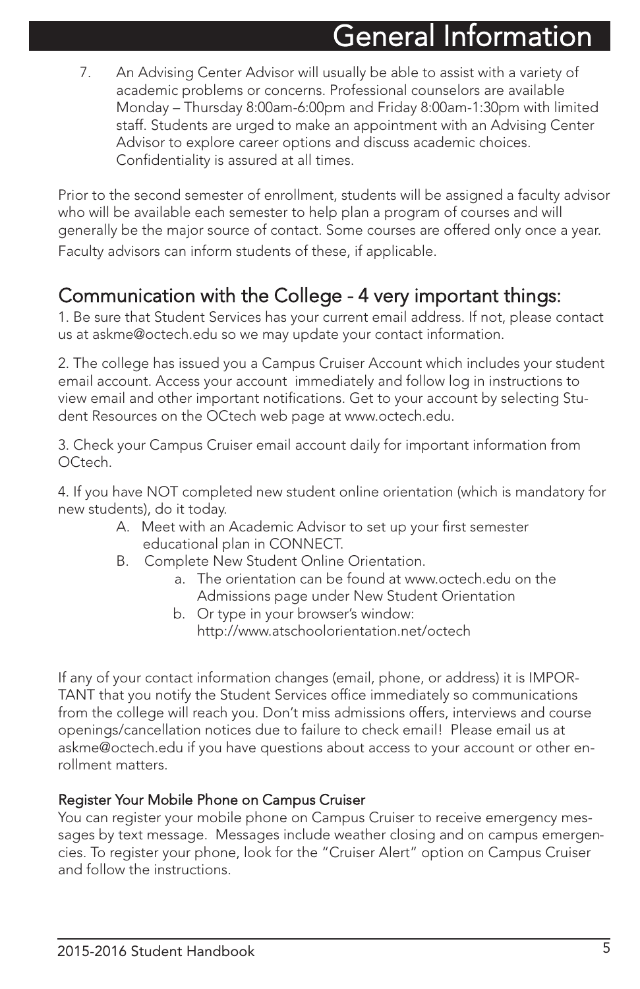7. An Advising Center Advisor will usually be able to assist with a variety of academic problems or concerns. Professional counselors are available Monday – Thursday 8:00am-6:00pm and Friday 8:00am-1:30pm with limited staff. Students are urged to make an appointment with an Advising Center Advisor to explore career options and discuss academic choices. Confidentiality is assured at all times.

Prior to the second semester of enrollment, students will be assigned a faculty advisor who will be available each semester to help plan a program of courses and will generally be the major source of contact. Some courses are offered only once a year. Faculty advisors can inform students of these, if applicable.

### Communication with the College - 4 very important things:

1. Be sure that Student Services has your current email address. If not, please contact us at askme@octech.edu so we may update your contact information.

2. The college has issued you a Campus Cruiser Account which includes your student email account. Access your account immediately and follow log in instructions to view email and other important notifications. Get to your account by selecting Student Resources on the OCtech web page at www.octech.edu.

3. Check your Campus Cruiser email account daily for important information from OCtech.

4. If you have NOT completed new student online orientation (which is mandatory for new students), do it today.

- A. Meet with an Academic Advisor to set up your first semester educational plan in CONNECT.
- B. Complete New Student Online Orientation.
	- a. The orientation can be found at www.octech.edu on the Admissions page under New Student Orientation
	- b. Or type in your browser's window: http://www.atschoolorientation.net/octech

If any of your contact information changes (email, phone, or address) it is IMPOR-TANT that you notify the Student Services office immediately so communications from the college will reach you. Don't miss admissions offers, interviews and course openings/cancellation notices due to failure to check email! Please email us at askme@octech.edu if you have questions about access to your account or other enrollment matters.

#### Register Your Mobile Phone on Campus Cruiser

You can register your mobile phone on Campus Cruiser to receive emergency messages by text message. Messages include weather closing and on campus emergencies. To register your phone, look for the "Cruiser Alert" option on Campus Cruiser and follow the instructions.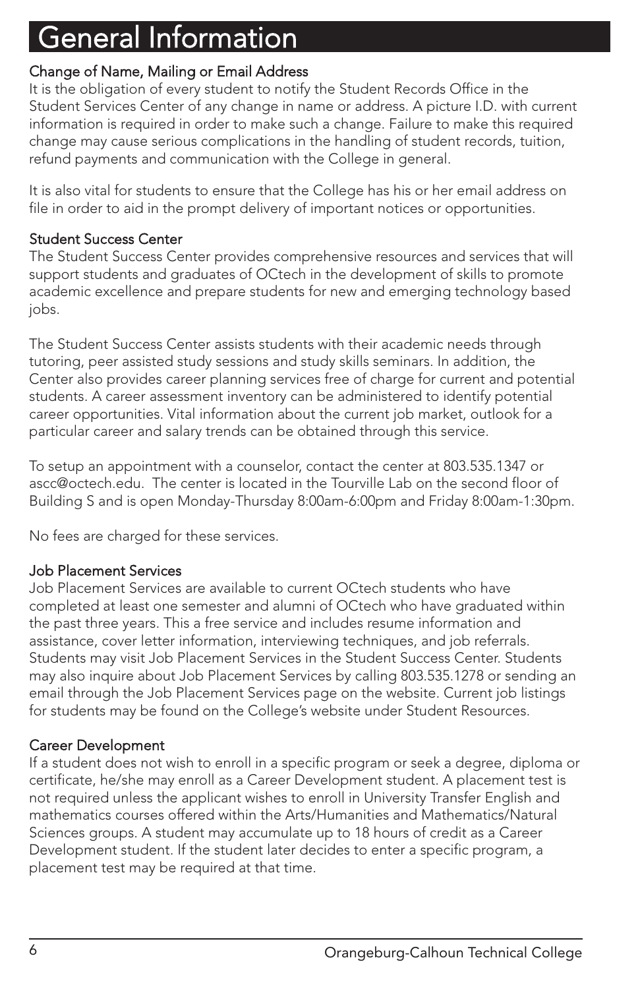#### Change of Name, Mailing or Email Address

It is the obligation of every student to notify the Student Records Office in the Student Services Center of any change in name or address. A picture I.D. with current information is required in order to make such a change. Failure to make this required change may cause serious complications in the handling of student records, tuition, refund payments and communication with the College in general.

It is also vital for students to ensure that the College has his or her email address on file in order to aid in the prompt delivery of important notices or opportunities.

#### Student Success Center

The Student Success Center provides comprehensive resources and services that will support students and graduates of OCtech in the development of skills to promote academic excellence and prepare students for new and emerging technology based iobs.

The Student Success Center assists students with their academic needs through tutoring, peer assisted study sessions and study skills seminars. In addition, the Center also provides career planning services free of charge for current and potential students. A career assessment inventory can be administered to identify potential career opportunities. Vital information about the current job market, outlook for a particular career and salary trends can be obtained through this service.

To setup an appointment with a counselor, contact the center at 803.535.1347 or ascc@octech.edu. The center is located in the Tourville Lab on the second floor of Building S and is open Monday-Thursday 8:00am-6:00pm and Friday 8:00am-1:30pm.

No fees are charged for these services.

#### Job Placement Services

Job Placement Services are available to current OCtech students who have completed at least one semester and alumni of OCtech who have graduated within the past three years. This a free service and includes resume information and assistance, cover letter information, interviewing techniques, and job referrals. Students may visit Job Placement Services in the Student Success Center. Students may also inquire about Job Placement Services by calling 803.535.1278 or sending an email through the Job Placement Services page on the website. Current job listings for students may be found on the College's website under Student Resources.

#### Career Development

If a student does not wish to enroll in a specific program or seek a degree, diploma or certificate, he/she may enroll as a Career Development student. A placement test is not required unless the applicant wishes to enroll in University Transfer English and mathematics courses offered within the Arts/Humanities and Mathematics/Natural Sciences groups. A student may accumulate up to 18 hours of credit as a Career Development student. If the student later decides to enter a specific program, a placement test may be required at that time.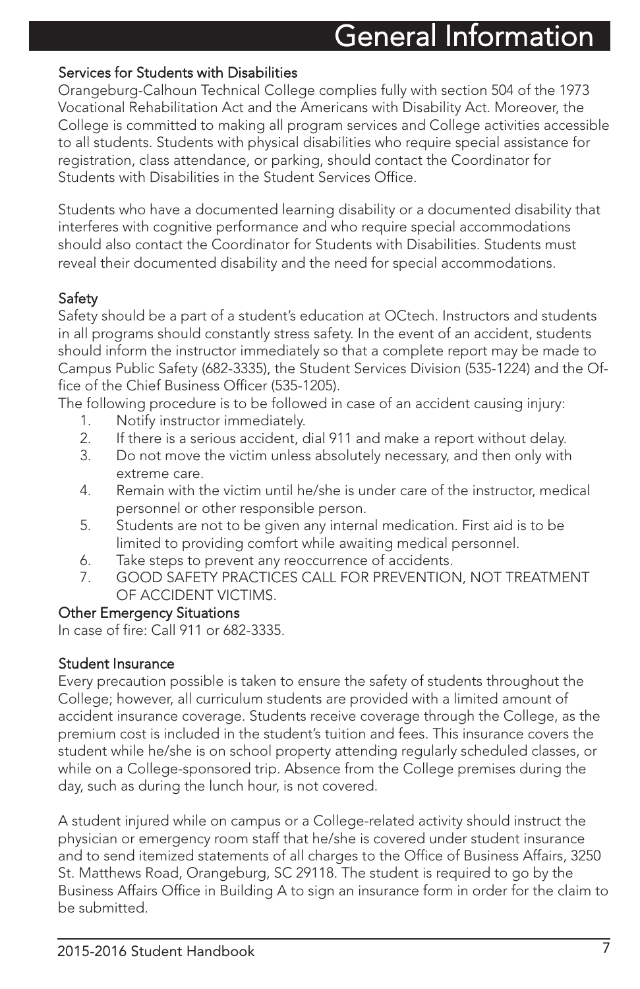#### Services for Students with Disabilities

Orangeburg-Calhoun Technical College complies fully with section 504 of the 1973 Vocational Rehabilitation Act and the Americans with Disability Act. Moreover, the College is committed to making all program services and College activities accessible to all students. Students with physical disabilities who require special assistance for registration, class attendance, or parking, should contact the Coordinator for Students with Disabilities in the Student Services Office.

Students who have a documented learning disability or a documented disability that interferes with cognitive performance and who require special accommodations should also contact the Coordinator for Students with Disabilities. Students must reveal their documented disability and the need for special accommodations.

#### **Safety**

Safety should be a part of a student's education at OCtech. Instructors and students in all programs should constantly stress safety. In the event of an accident, students should inform the instructor immediately so that a complete report may be made to Campus Public Safety (682-3335), the Student Services Division (535-1224) and the Office of the Chief Business Officer (535-1205).

The following procedure is to be followed in case of an accident causing injury:

- 1. Notify instructor immediately.
- 2. If there is a serious accident, dial 911 and make a report without delay.<br>3. Do not move the victim unless absolutely necessary and then only with
- Do not move the victim unless absolutely necessary, and then only with extreme care.
- 4. Remain with the victim until he/she is under care of the instructor, medical personnel or other responsible person.
- 5. Students are not to be given any internal medication. First aid is to be limited to providing comfort while awaiting medical personnel.
- 6. Take steps to prevent any reoccurrence of accidents.
- 7. GOOD SAFETY PRACTICES CALL FOR PREVENTION, NOT TREATMENT OF ACCIDENT VICTIMS.

#### Other Emergency Situations

In case of fire: Call 911 or 682-3335.

#### Student Insurance

Every precaution possible is taken to ensure the safety of students throughout the College; however, all curriculum students are provided with a limited amount of accident insurance coverage. Students receive coverage through the College, as the premium cost is included in the student's tuition and fees. This insurance covers the student while he/she is on school property attending regularly scheduled classes, or while on a College-sponsored trip. Absence from the College premises during the day, such as during the lunch hour, is not covered.

A student injured while on campus or a College-related activity should instruct the physician or emergency room staff that he/she is covered under student insurance and to send itemized statements of all charges to the Office of Business Affairs, 3250 St. Matthews Road, Orangeburg, SC 29118. The student is required to go by the Business Affairs Office in Building A to sign an insurance form in order for the claim to be submitted.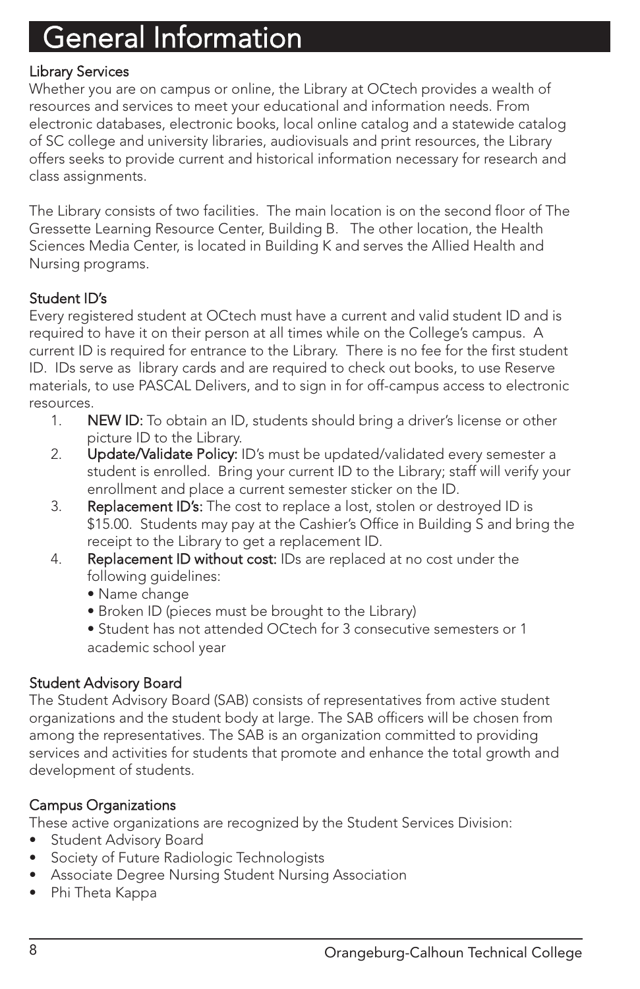#### Library Services

Whether you are on campus or online, the Library at OCtech provides a wealth of resources and services to meet your educational and information needs. From electronic databases, electronic books, local online catalog and a statewide catalog of SC college and university libraries, audiovisuals and print resources, the Library offers seeks to provide current and historical information necessary for research and class assignments.

The Library consists of two facilities. The main location is on the second floor of The Gressette Learning Resource Center, Building B. The other location, the Health Sciences Media Center, is located in Building K and serves the Allied Health and Nursing programs.

#### Student ID's

Every registered student at OCtech must have a current and valid student ID and is required to have it on their person at all times while on the College's campus. A current ID is required for entrance to the Library. There is no fee for the first student ID. IDs serve as library cards and are required to check out books, to use Reserve materials, to use PASCAL Delivers, and to sign in for off-campus access to electronic resources.

- 1. NEW ID: To obtain an ID, students should bring a driver's license or other picture ID to the Library.
- 2. Update/Validate Policy: ID's must be updated/validated every semester a student is enrolled. Bring your current ID to the Library; staff will verify your enrollment and place a current semester sticker on the ID.
- 3. Replacement ID's: The cost to replace a lost, stolen or destroyed ID is \$15.00. Students may pay at the Cashier's Office in Building S and bring the receipt to the Library to get a replacement ID.
- 4. Replacement ID without cost: IDs are replaced at no cost under the following guidelines:
	- Name change
	- Broken ID (pieces must be brought to the Library)
	- Student has not attended OCtech for 3 consecutive semesters or 1 academic school year

#### Student Advisory Board

The Student Advisory Board (SAB) consists of representatives from active student organizations and the student body at large. The SAB officers will be chosen from among the representatives. The SAB is an organization committed to providing services and activities for students that promote and enhance the total growth and development of students.

#### Campus Organizations

These active organizations are recognized by the Student Services Division:

- Student Advisory Board
- Society of Future Radiologic Technologists
- Associate Degree Nursing Student Nursing Association
- Phi Theta Kappa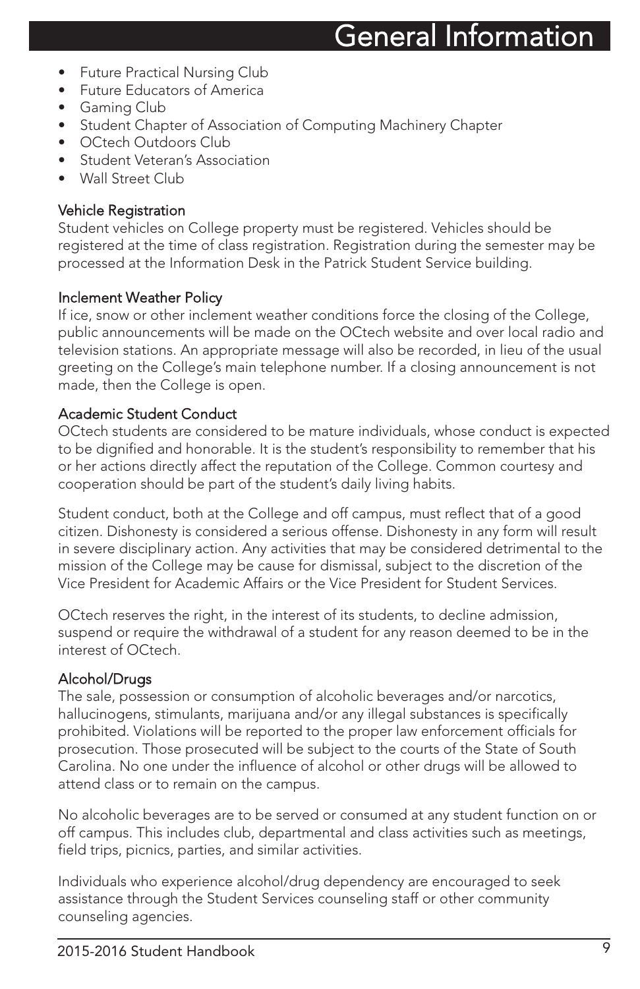- **Future Practical Nursing Club**
- Future Educators of America
- Gaming Club
- Student Chapter of Association of Computing Machinery Chapter
- OCtech Outdoors Club
- **Student Veteran's Association**
- Wall Street Club

#### Vehicle Registration

Student vehicles on College property must be registered. Vehicles should be registered at the time of class registration. Registration during the semester may be processed at the Information Desk in the Patrick Student Service building.

#### Inclement Weather Policy

If ice, snow or other inclement weather conditions force the closing of the College, public announcements will be made on the OCtech website and over local radio and television stations. An appropriate message will also be recorded, in lieu of the usual greeting on the College's main telephone number. If a closing announcement is not made, then the College is open.

#### Academic Student Conduct

OCtech students are considered to be mature individuals, whose conduct is expected to be dignified and honorable. It is the student's responsibility to remember that his or her actions directly affect the reputation of the College. Common courtesy and cooperation should be part of the student's daily living habits.

Student conduct, both at the College and off campus, must reflect that of a good citizen. Dishonesty is considered a serious offense. Dishonesty in any form will result in severe disciplinary action. Any activities that may be considered detrimental to the mission of the College may be cause for dismissal, subject to the discretion of the Vice President for Academic Affairs or the Vice President for Student Services.

OCtech reserves the right, in the interest of its students, to decline admission, suspend or require the withdrawal of a student for any reason deemed to be in the interest of OCtech.

#### Alcohol/Drugs

The sale, possession or consumption of alcoholic beverages and/or narcotics, hallucinogens, stimulants, marijuana and/or any illegal substances is specifically prohibited. Violations will be reported to the proper law enforcement officials for prosecution. Those prosecuted will be subject to the courts of the State of South Carolina. No one under the influence of alcohol or other drugs will be allowed to attend class or to remain on the campus.

No alcoholic beverages are to be served or consumed at any student function on or off campus. This includes club, departmental and class activities such as meetings, field trips, picnics, parties, and similar activities.

Individuals who experience alcohol/drug dependency are encouraged to seek assistance through the Student Services counseling staff or other community counseling agencies.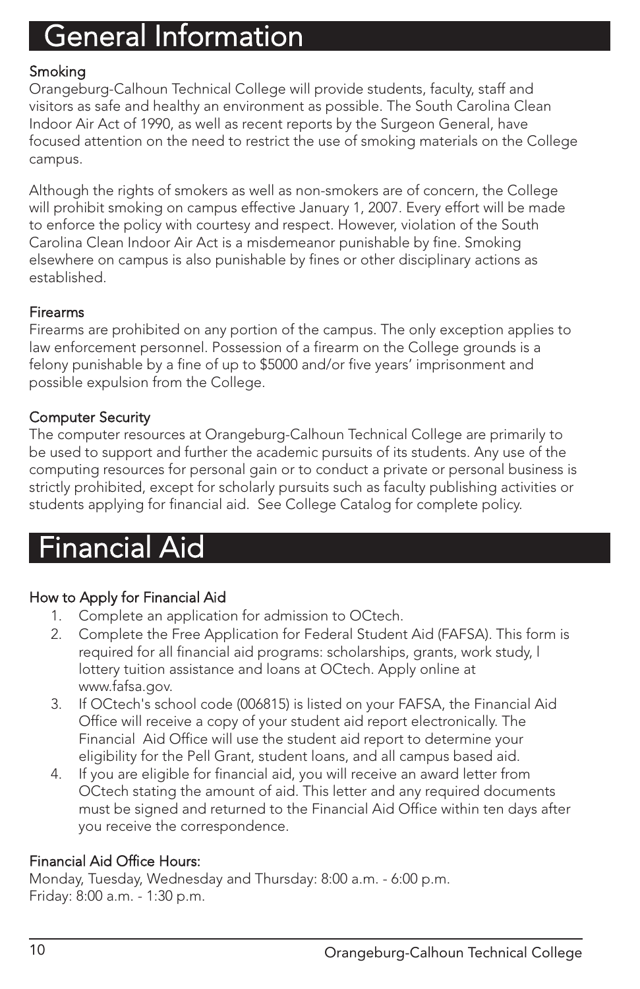#### **Smoking**

Orangeburg-Calhoun Technical College will provide students, faculty, staff and visitors as safe and healthy an environment as possible. The South Carolina Clean Indoor Air Act of 1990, as well as recent reports by the Surgeon General, have focused attention on the need to restrict the use of smoking materials on the College campus.

Although the rights of smokers as well as non-smokers are of concern, the College will prohibit smoking on campus effective January 1, 2007. Every effort will be made to enforce the policy with courtesy and respect. However, violation of the South Carolina Clean Indoor Air Act is a misdemeanor punishable by fine. Smoking elsewhere on campus is also punishable by fines or other disciplinary actions as established.

#### Firearms

Firearms are prohibited on any portion of the campus. The only exception applies to law enforcement personnel. Possession of a firearm on the College grounds is a felony punishable by a fine of up to \$5000 and/or five years' imprisonment and possible expulsion from the College.

#### Computer Security

The computer resources at Orangeburg-Calhoun Technical College are primarily to be used to support and further the academic pursuits of its students. Any use of the computing resources for personal gain or to conduct a private or personal business is strictly prohibited, except for scholarly pursuits such as faculty publishing activities or students applying for financial aid. See College Catalog for complete policy.

### Financial Aid

#### How to Apply for Financial Aid

- 1. Complete an application for admission to OCtech.
- 2. Complete the Free Application for Federal Student Aid (FAFSA). This form is required for all financial aid programs: scholarships, grants, work study, l lottery tuition assistance and loans at OCtech. Apply online at www.fafsa.gov.
- 3. If OCtech's school code (006815) is listed on your FAFSA, the Financial Aid Office will receive a copy of your student aid report electronically. The Financial Aid Office will use the student aid report to determine your eligibility for the Pell Grant, student loans, and all campus based aid.
- 4. If you are eligible for financial aid, you will receive an award letter from OCtech stating the amount of aid. This letter and any required documents must be signed and returned to the Financial Aid Office within ten days after you receive the correspondence.

#### Financial Aid Office Hours:

Monday, Tuesday, Wednesday and Thursday: 8:00 a.m. - 6:00 p.m. Friday: 8:00 a.m. - 1:30 p.m.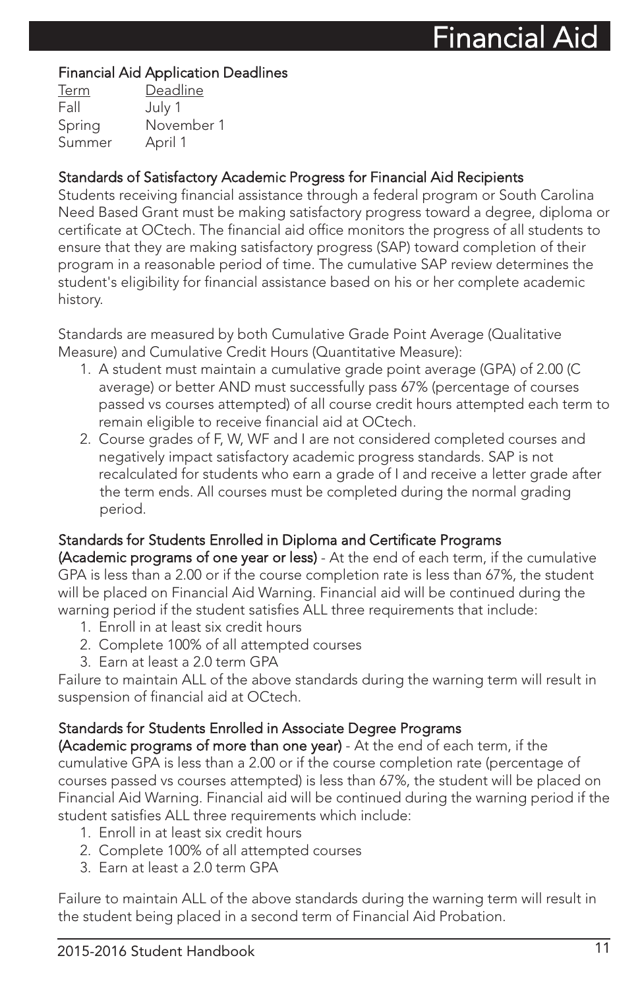#### Financial Aid Application Deadlines

| Deadline   |
|------------|
| July 1     |
| November 1 |
| April 1    |
|            |

#### Standards of Satisfactory Academic Progress for Financial Aid Recipients

Students receiving financial assistance through a federal program or South Carolina Need Based Grant must be making satisfactory progress toward a degree, diploma or certificate at OCtech. The financial aid office monitors the progress of all students to ensure that they are making satisfactory progress (SAP) toward completion of their program in a reasonable period of time. The cumulative SAP review determines the student's eligibility for financial assistance based on his or her complete academic history.

Standards are measured by both Cumulative Grade Point Average (Qualitative Measure) and Cumulative Credit Hours (Quantitative Measure):

- 1. A student must maintain a cumulative grade point average (GPA) of 2.00 (C average) or better AND must successfully pass 67% (percentage of courses passed vs courses attempted) of all course credit hours attempted each term to remain eligible to receive financial aid at OCtech.
- 2. Course grades of F, W, WF and I are not considered completed courses and negatively impact satisfactory academic progress standards. SAP is not recalculated for students who earn a grade of I and receive a letter grade after the term ends. All courses must be completed during the normal grading period.

#### Standards for Students Enrolled in Diploma and Certificate Programs

(Academic programs of one year or less) - At the end of each term, if the cumulative GPA is less than a 2.00 or if the course completion rate is less than 67%, the student will be placed on Financial Aid Warning. Financial aid will be continued during the warning period if the student satisfies ALL three requirements that include:

- 1. Enroll in at least six credit hours
- 2. Complete 100% of all attempted courses
- 3. Earn at least a 2.0 term GPA

Failure to maintain ALL of the above standards during the warning term will result in suspension of financial aid at OCtech.

#### Standards for Students Enrolled in Associate Degree Programs

(Academic programs of more than one year) - At the end of each term, if the cumulative GPA is less than a 2.00 or if the course completion rate (percentage of courses passed vs courses attempted) is less than 67%, the student will be placed on Financial Aid Warning. Financial aid will be continued during the warning period if the student satisfies ALL three requirements which include:

- 1. Enroll in at least six credit hours
- 2. Complete 100% of all attempted courses
- 3. Earn at least a 2.0 term GPA

Failure to maintain ALL of the above standards during the warning term will result in the student being placed in a second term of Financial Aid Probation.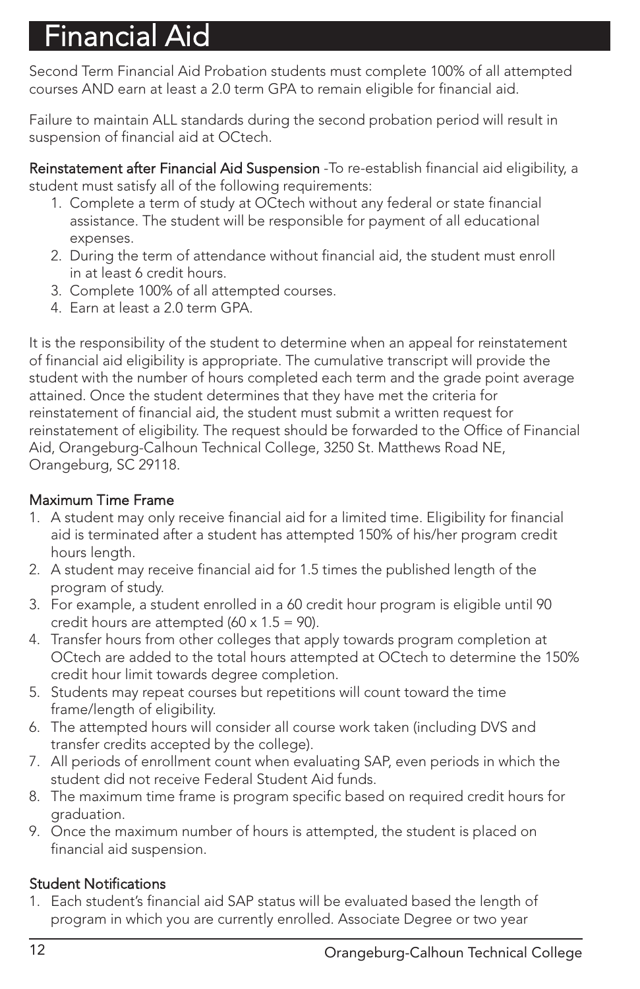# $\ddot{\cdot}$ inancial Aid

Second Term Financial Aid Probation students must complete 100% of all attempted courses AND earn at least a 2.0 term GPA to remain eligible for financial aid.

Failure to maintain ALL standards during the second probation period will result in suspension of financial aid at OCtech.

Reinstatement after Financial Aid Suspension - To re-establish financial aid eligibility, a student must satisfy all of the following requirements:

- 1. Complete a term of study at OCtech without any federal or state financial assistance. The student will be responsible for payment of all educational expenses.
- 2. During the term of attendance without financial aid, the student must enroll in at least 6 credit hours.
- 3. Complete 100% of all attempted courses.
- 4. Earn at least a 2.0 term GPA.

It is the responsibility of the student to determine when an appeal for reinstatement of financial aid eligibility is appropriate. The cumulative transcript will provide the student with the number of hours completed each term and the grade point average attained. Once the student determines that they have met the criteria for reinstatement of financial aid, the student must submit a written request for reinstatement of eligibility. The request should be forwarded to the Office of Financial Aid, Orangeburg-Calhoun Technical College, 3250 St. Matthews Road NE, Orangeburg, SC 29118.

#### Maximum Time Frame

- 1. A student may only receive financial aid for a limited time. Eligibility for financial aid is terminated after a student has attempted 150% of his/her program credit hours length.
- 2. A student may receive financial aid for 1.5 times the published length of the program of study.
- 3. For example, a student enrolled in a 60 credit hour program is eligible until 90 credit hours are attempted  $(60 \times 1.5 = 90)$ .
- 4. Transfer hours from other colleges that apply towards program completion at OCtech are added to the total hours attempted at OCtech to determine the 150% credit hour limit towards degree completion.
- 5. Students may repeat courses but repetitions will count toward the time frame/length of eligibility.
- 6. The attempted hours will consider all course work taken (including DVS and transfer credits accepted by the college).
- 7. All periods of enrollment count when evaluating SAP, even periods in which the student did not receive Federal Student Aid funds.
- 8. The maximum time frame is program specific based on required credit hours for graduation.
- 9. Once the maximum number of hours is attempted, the student is placed on financial aid suspension.

#### Student Notifications

1. Each student's financial aid SAP status will be evaluated based the length of program in which you are currently enrolled. Associate Degree or two year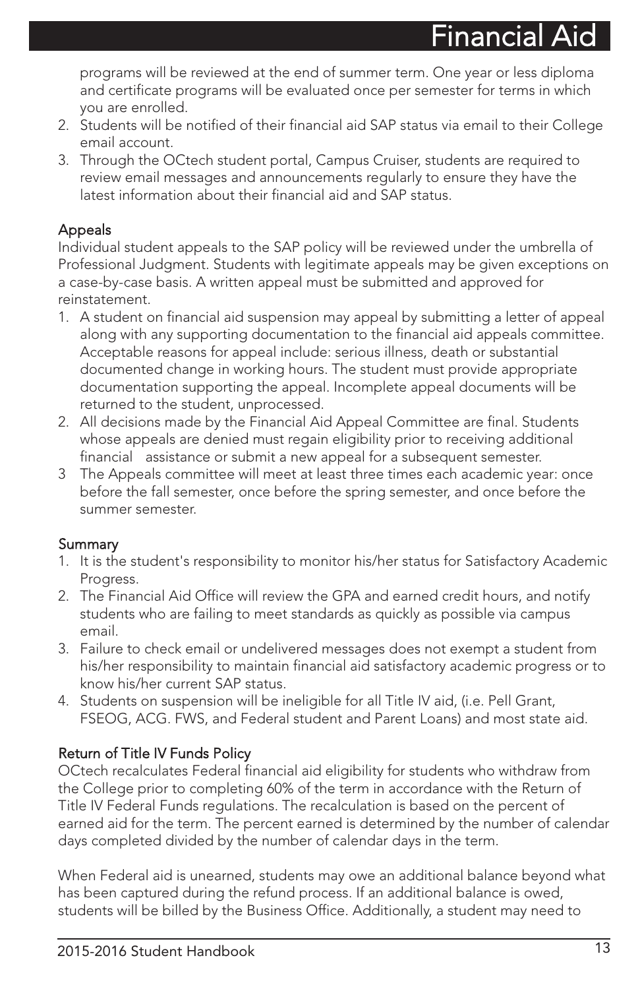programs will be reviewed at the end of summer term. One year or less diploma and certificate programs will be evaluated once per semester for terms in which you are enrolled.

- 2. Students will be notified of their financial aid SAP status via email to their College email account.
- 3. Through the OCtech student portal, Campus Cruiser, students are required to review email messages and announcements regularly to ensure they have the latest information about their financial aid and SAP status.

#### **Appeals**

Individual student appeals to the SAP policy will be reviewed under the umbrella of Professional Judgment. Students with legitimate appeals may be given exceptions on a case-by-case basis. A written appeal must be submitted and approved for reinstatement.

- 1. A student on financial aid suspension may appeal by submitting a letter of appeal along with any supporting documentation to the financial aid appeals committee. Acceptable reasons for appeal include: serious illness, death or substantial documented change in working hours. The student must provide appropriate documentation supporting the appeal. Incomplete appeal documents will be returned to the student, unprocessed.
- 2. All decisions made by the Financial Aid Appeal Committee are final. Students whose appeals are denied must regain eligibility prior to receiving additional financial assistance or submit a new appeal for a subsequent semester.
- 3 The Appeals committee will meet at least three times each academic year: once before the fall semester, once before the spring semester, and once before the summer semester.

#### Summary

- 1. It is the student's responsibility to monitor his/her status for Satisfactory Academic Progress.
- 2. The Financial Aid Office will review the GPA and earned credit hours, and notify students who are failing to meet standards as quickly as possible via campus email.
- 3. Failure to check email or undelivered messages does not exempt a student from his/her responsibility to maintain financial aid satisfactory academic progress or to know his/her current SAP status.
- 4. Students on suspension will be ineligible for all Title IV aid, (i.e. Pell Grant, FSEOG, ACG. FWS, and Federal student and Parent Loans) and most state aid.

#### Return of Title IV Funds Policy

OCtech recalculates Federal financial aid eligibility for students who withdraw from the College prior to completing 60% of the term in accordance with the Return of Title IV Federal Funds regulations. The recalculation is based on the percent of earned aid for the term. The percent earned is determined by the number of calendar days completed divided by the number of calendar days in the term.

When Federal aid is unearned, students may owe an additional balance beyond what has been captured during the refund process. If an additional balance is owed, students will be billed by the Business Office. Additionally, a student may need to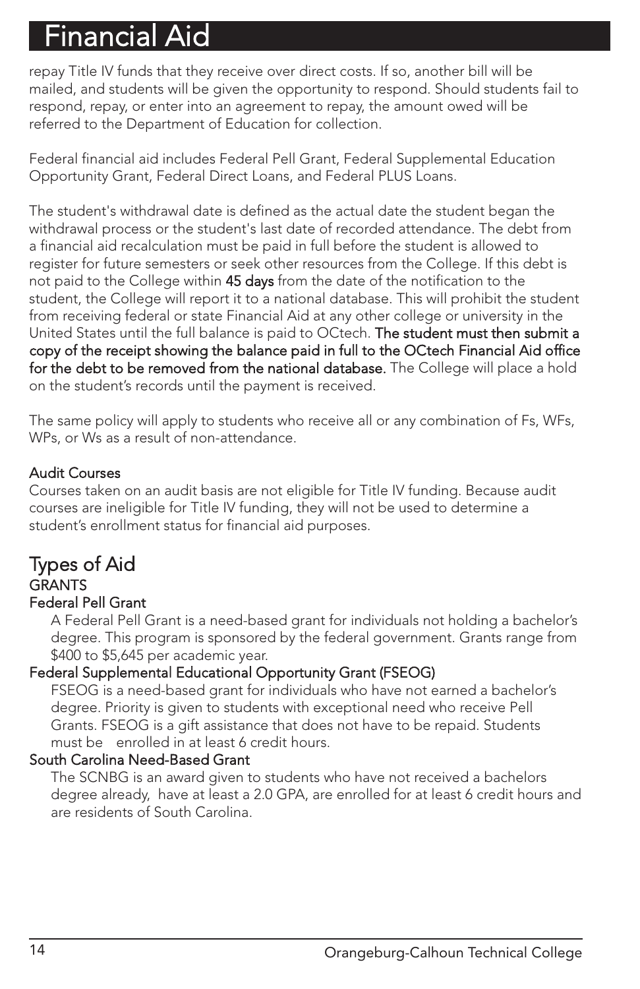# Financial Aid

repay Title IV funds that they receive over direct costs. If so, another bill will be mailed, and students will be given the opportunity to respond. Should students fail to respond, repay, or enter into an agreement to repay, the amount owed will be referred to the Department of Education for collection.

Federal financial aid includes Federal Pell Grant, Federal Supplemental Education Opportunity Grant, Federal Direct Loans, and Federal PLUS Loans.

The student's withdrawal date is defined as the actual date the student began the withdrawal process or the student's last date of recorded attendance. The debt from a financial aid recalculation must be paid in full before the student is allowed to register for future semesters or seek other resources from the College. If this debt is not paid to the College within 45 days from the date of the notification to the student, the College will report it to a national database. This will prohibit the student from receiving federal or state Financial Aid at any other college or university in the United States until the full balance is paid to OCtech. The student must then submit a copy of the receipt showing the balance paid in full to the OCtech Financial Aid office for the debt to be removed from the national database. The College will place a hold on the student's records until the payment is received.

The same policy will apply to students who receive all or any combination of Fs, WFs, WPs, or Ws as a result of non-attendance.

#### Audit Courses

Courses taken on an audit basis are not eligible for Title IV funding. Because audit courses are ineligible for Title IV funding, they will not be used to determine a student's enrollment status for financial aid purposes.

#### Types of Aid **GRANTS** Federal Pell Grant

A Federal Pell Grant is a need-based grant for individuals not holding a bachelor's degree. This program is sponsored by the federal government. Grants range from \$400 to \$5,645 per academic year.

#### Federal Supplemental Educational Opportunity Grant (FSEOG)

FSEOG is a need-based grant for individuals who have not earned a bachelor's degree. Priority is given to students with exceptional need who receive Pell Grants. FSEOG is a gift assistance that does not have to be repaid. Students must be enrolled in at least 6 credit hours.

#### South Carolina Need-Based Grant

The SCNBG is an award given to students who have not received a bachelors degree already, have at least a 2.0 GPA, are enrolled for at least 6 credit hours and are residents of South Carolina.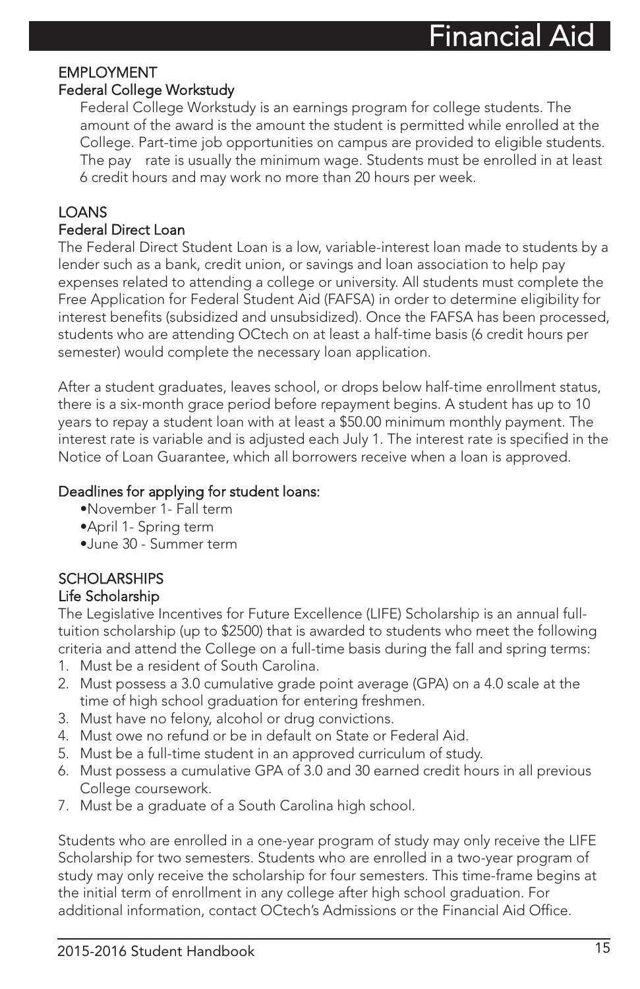#### EMPLOYMENT Federal College Workstudy

Federal College Workstudy is an earnings program for college students. The amount of the award is the amount the student is permitted while enrolled at the College. Part-time job opportunities on campus are provided to eligible students. The pay rate is usually the minimum wage. Students must be enrolled in at least 6 credit hours and may work no more than 20 hours per week.

### **LOANS**

#### Federal Direct Loan

The Federal Direct Student Loan is a low, variable-interest loan made to students by a lender such as a bank, credit union, or savings and loan association to help pay expenses related to attending a college or university. All students must complete the Free Application for Federal Student Aid (FAFSA) in order to determine eligibility for interest benefits (subsidized and unsubsidized). Once the FAFSA has been processed, students who are attending OCtech on at least a half-time basis (6 credit hours per semester) would complete the necessary loan application.

After a student graduates, leaves school, or drops below half-time enrollment status, there is a six-month grace period before repayment begins. A student has up to 10 years to repay a student loan with at least a \$50.00 minimum monthly payment. The interest rate is variable and is adjusted each July 1. The interest rate is specified in the Notice of Loan Guarantee, which all borrowers receive when a loan is approved.

#### Deadlines for applying for student loans:

- •November 1- Fall term
- •April 1- Spring term
- •June 30 Summer term

### **SCHOLARSHIPS**

#### Life Scholarship

The Legislative Incentives for Future Excellence (LIFE) Scholarship is an annual fulltuition scholarship (up to \$2500) that is awarded to students who meet the following criteria and attend the College on a full-time basis during the fall and spring terms:

- 1. Must be a resident of South Carolina.
- 2. Must possess a 3.0 cumulative grade point average (GPA) on a 4.0 scale at the time of high school graduation for entering freshmen.
- 3. Must have no felony, alcohol or drug convictions.
- 4. Must owe no refund or be in default on State or Federal Aid.
- 5. Must be a full-time student in an approved curriculum of study.
- 6. Must possess a cumulative GPA of 3.0 and 30 earned credit hours in all previous College coursework.
- 7. Must be a graduate of a South Carolina high school.

Students who are enrolled in a one-year program of study may only receive the LIFE Scholarship for two semesters. Students who are enrolled in a two-year program of study may only receive the scholarship for four semesters. This time-frame begins at the initial term of enrollment in any college after high school graduation. For additional information, contact OCtech's Admissions or the Financial Aid Office.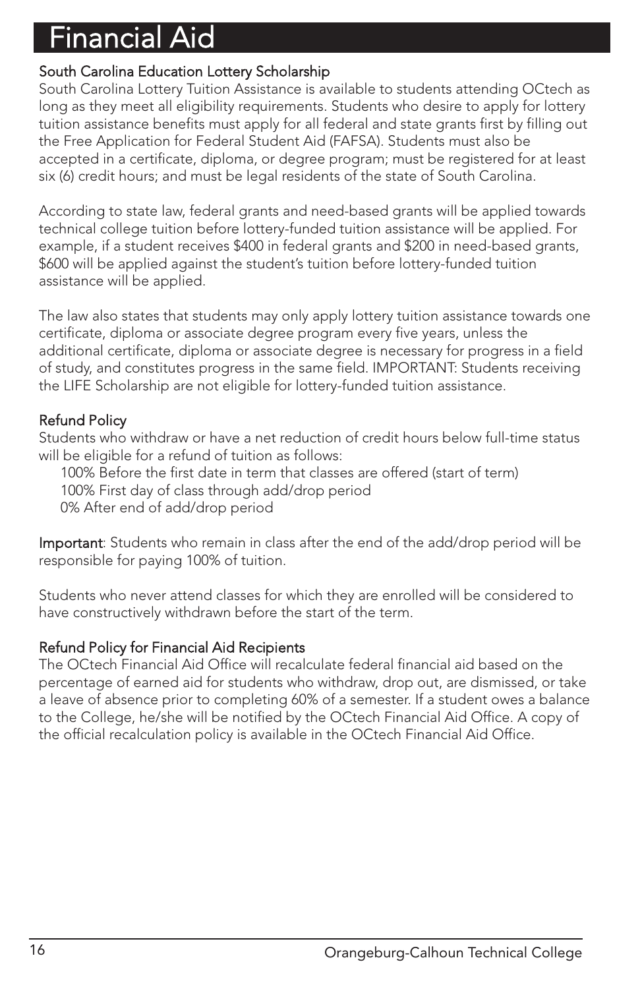## Financial Aid

#### South Carolina Education Lottery Scholarship

South Carolina Lottery Tuition Assistance is available to students attending OCtech as long as they meet all eligibility requirements. Students who desire to apply for lottery tuition assistance benefits must apply for all federal and state grants first by filling out the Free Application for Federal Student Aid (FAFSA). Students must also be accepted in a certificate, diploma, or degree program; must be registered for at least six (6) credit hours; and must be legal residents of the state of South Carolina.

According to state law, federal grants and need-based grants will be applied towards technical college tuition before lottery-funded tuition assistance will be applied. For example, if a student receives \$400 in federal grants and \$200 in need-based grants, \$600 will be applied against the student's tuition before lottery-funded tuition assistance will be applied.

The law also states that students may only apply lottery tuition assistance towards one certificate, diploma or associate degree program every five years, unless the additional certificate, diploma or associate degree is necessary for progress in a field of study, and constitutes progress in the same field. IMPORTANT: Students receiving the LIFE Scholarship are not eligible for lottery-funded tuition assistance.

#### Refund Policy

Students who withdraw or have a net reduction of credit hours below full-time status will be eligible for a refund of tuition as follows:

100% Before the first date in term that classes are offered (start of term)

100% First day of class through add/drop period

0% After end of add/drop period

Important: Students who remain in class after the end of the add/drop period will be responsible for paying 100% of tuition.

Students who never attend classes for which they are enrolled will be considered to have constructively withdrawn before the start of the term.

#### Refund Policy for Financial Aid Recipients

The OCtech Financial Aid Office will recalculate federal financial aid based on the percentage of earned aid for students who withdraw, drop out, are dismissed, or take a leave of absence prior to completing 60% of a semester. If a student owes a balance to the College, he/she will be notified by the OCtech Financial Aid Office. A copy of the official recalculation policy is available in the OCtech Financial Aid Office.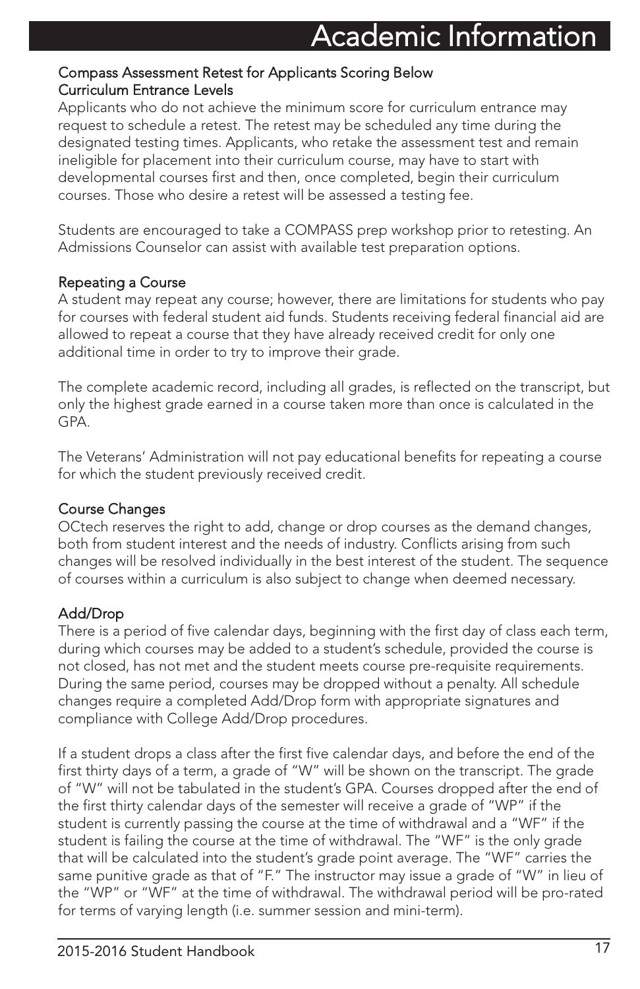#### Compass Assessment Retest for Applicants Scoring Below Curriculum Entrance Levels

Applicants who do not achieve the minimum score for curriculum entrance may request to schedule a retest. The retest may be scheduled any time during the designated testing times. Applicants, who retake the assessment test and remain ineligible for placement into their curriculum course, may have to start with developmental courses first and then, once completed, begin their curriculum courses. Those who desire a retest will be assessed a testing fee.

Students are encouraged to take a COMPASS prep workshop prior to retesting. An Admissions Counselor can assist with available test preparation options.

#### Repeating a Course

A student may repeat any course; however, there are limitations for students who pay for courses with federal student aid funds. Students receiving federal financial aid are allowed to repeat a course that they have already received credit for only one additional time in order to try to improve their grade.

The complete academic record, including all grades, is reflected on the transcript, but only the highest grade earned in a course taken more than once is calculated in the GPA.

The Veterans' Administration will not pay educational benefits for repeating a course for which the student previously received credit.

#### Course Changes

OCtech reserves the right to add, change or drop courses as the demand changes, both from student interest and the needs of industry. Conflicts arising from such changes will be resolved individually in the best interest of the student. The sequence of courses within a curriculum is also subject to change when deemed necessary.

#### Add/Drop

There is a period of five calendar days, beginning with the first day of class each term, during which courses may be added to a student's schedule, provided the course is not closed, has not met and the student meets course pre-requisite requirements. During the same period, courses may be dropped without a penalty. All schedule changes require a completed Add/Drop form with appropriate signatures and compliance with College Add/Drop procedures.

If a student drops a class after the first five calendar days, and before the end of the first thirty days of a term, a grade of "W" will be shown on the transcript. The grade of "W" will not be tabulated in the student's GPA. Courses dropped after the end of the first thirty calendar days of the semester will receive a grade of "WP" if the student is currently passing the course at the time of withdrawal and a "WF" if the student is failing the course at the time of withdrawal. The "WF" is the only grade that will be calculated into the student's grade point average. The "WF" carries the same punitive grade as that of "F." The instructor may issue a grade of "W" in lieu of the "WP" or "WF" at the time of withdrawal. The withdrawal period will be pro-rated for terms of varying length (i.e. summer session and mini-term).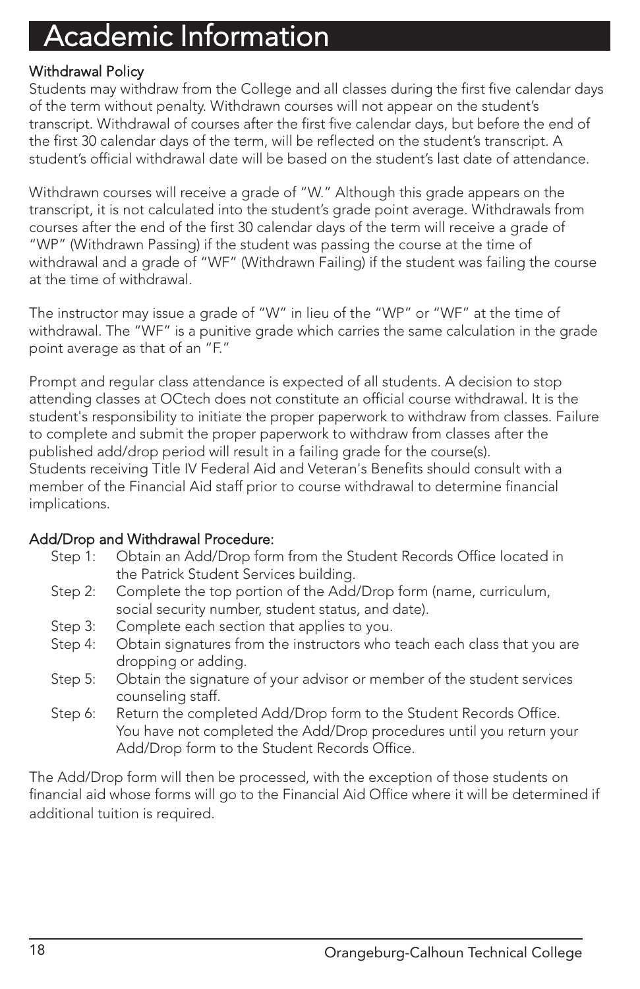#### Withdrawal Policy

Students may withdraw from the College and all classes during the first five calendar days of the term without penalty. Withdrawn courses will not appear on the student's transcript. Withdrawal of courses after the first five calendar days, but before the end of the first 30 calendar days of the term, will be reflected on the student's transcript. A student's official withdrawal date will be based on the student's last date of attendance.

Withdrawn courses will receive a grade of "W." Although this grade appears on the transcript, it is not calculated into the student's grade point average. Withdrawals from courses after the end of the first 30 calendar days of the term will receive a grade of "WP" (Withdrawn Passing) if the student was passing the course at the time of withdrawal and a grade of "WF" (Withdrawn Failing) if the student was failing the course at the time of withdrawal.

The instructor may issue a grade of "W" in lieu of the "WP" or "WF" at the time of withdrawal. The "WF" is a punitive grade which carries the same calculation in the grade point average as that of an "F."

Prompt and regular class attendance is expected of all students. A decision to stop attending classes at OCtech does not constitute an official course withdrawal. It is the student's responsibility to initiate the proper paperwork to withdraw from classes. Failure to complete and submit the proper paperwork to withdraw from classes after the published add/drop period will result in a failing grade for the course(s). Students receiving Title IV Federal Aid and Veteran's Benefits should consult with a member of the Financial Aid staff prior to course withdrawal to determine financial implications.

#### Add/Drop and Withdrawal Procedure:

- Step 1: Obtain an Add/Drop form from the Student Records Office located in the Patrick Student Services building.
- Step 2: Complete the top portion of the Add/Drop form (name, curriculum, social security number, student status, and date).
- Step 3: Complete each section that applies to you.
- Step 4: Obtain signatures from the instructors who teach each class that you are dropping or adding.
- Step 5: Obtain the signature of your advisor or member of the student services counseling staff.
- Step 6: Return the completed Add/Drop form to the Student Records Office. You have not completed the Add/Drop procedures until you return your Add/Drop form to the Student Records Office.

The Add/Drop form will then be processed, with the exception of those students on financial aid whose forms will go to the Financial Aid Office where it will be determined if additional tuition is required.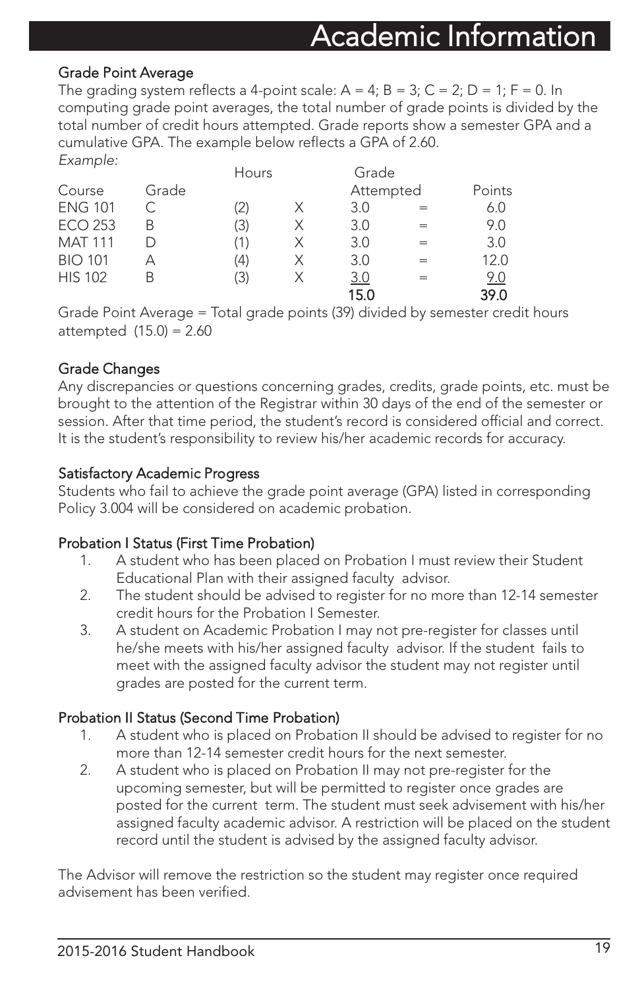#### Grade Point Average

The grading system reflects a 4-point scale:  $A = 4$ ;  $B = 3$ ;  $C = 2$ ;  $D = 1$ ;  $F = 0$ . In computing grade point averages, the total number of grade points is divided by the total number of credit hours attempted. Grade reports show a semester GPA and a cumulative GPA. The example below reflects a GPA of 2.60.

| Example:            |       |       |   |            |   |        |
|---------------------|-------|-------|---|------------|---|--------|
|                     |       | Hours |   | Grade      |   |        |
| Course              | Grade |       |   | Attempted  |   | Points |
| <b>ENG 101</b>      |       | (2)   | X | 3.0        |   | 6.0    |
| ECO 253             | В     | (3)   | Х | 3.0        | - | 9.0    |
| <b>MAT 111</b>      |       | (1)   | Χ | 3.0        |   | 3.0    |
| <b>BIO 101</b>      | А     | (4)   | Х | 3.0        |   | 12.0   |
| <b>HIS 102</b><br>B |       | (3)   | Χ | <u>3.0</u> | = | 9.0    |
|                     |       |       |   | 15.0       |   | 39.0   |

Grade Point Average = Total grade points (39) divided by semester credit hours attempted (15.0) = 2.60

#### Grade Changes

Any discrepancies or questions concerning grades, credits, grade points, etc. must be brought to the attention of the Registrar within 30 days of the end of the semester or session. After that time period, the student's record is considered official and correct. It is the student's responsibility to review his/her academic records for accuracy.

#### Satisfactory Academic Progress

Students who fail to achieve the grade point average (GPA) listed in corresponding Policy 3.004 will be considered on academic probation.

#### Probation I Status (First Time Probation)

- 1. A student who has been placed on Probation I must review their Student Educational Plan with their assigned faculty advisor.
- 2. The student should be advised to register for no more than 12-14 semester credit hours for the Probation I Semester.
- 3. A student on Academic Probation I may not pre-register for classes until he/she meets with his/her assigned faculty advisor. If the student fails to meet with the assigned faculty advisor the student may not register until grades are posted for the current term.

#### Probation II Status (Second Time Probation)

- 1. A student who is placed on Probation II should be advised to register for no more than 12-14 semester credit hours for the next semester.
- 2. A student who is placed on Probation II may not pre-register for the upcoming semester, but will be permitted to register once grades are posted for the current term. The student must seek advisement with his/her assigned faculty academic advisor. A restriction will be placed on the student record until the student is advised by the assigned faculty advisor.

The Advisor will remove the restriction so the student may register once required advisement has been verified.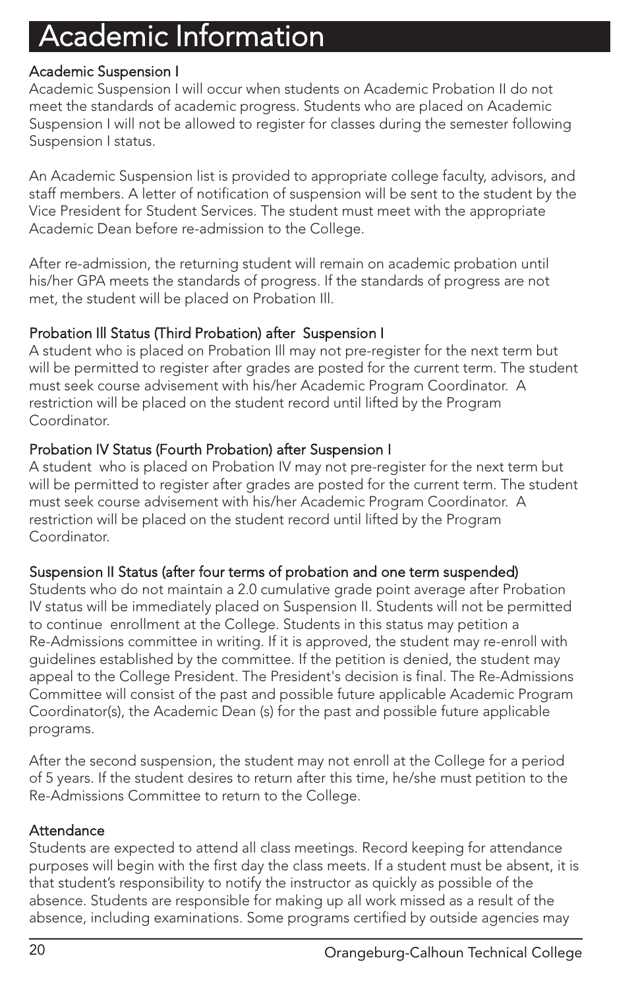#### Academic Suspension I

Academic Suspension I will occur when students on Academic Probation II do not meet the standards of academic progress. Students who are placed on Academic Suspension I will not be allowed to register for classes during the semester following Suspension I status.

An Academic Suspension list is provided to appropriate college faculty, advisors, and staff members. A letter of notification of suspension will be sent to the student by the Vice President for Student Services. The student must meet with the appropriate Academic Dean before re-admission to the College.

After re-admission, the returning student will remain on academic probation until his/her GPA meets the standards of progress. If the standards of progress are not met, the student will be placed on Probation Ill.

#### Probation Ill Status (Third Probation) after Suspension I

A student who is placed on Probation Ill may not pre-register for the next term but will be permitted to register after grades are posted for the current term. The student must seek course advisement with his/her Academic Program Coordinator. A restriction will be placed on the student record until lifted by the Program Coordinator.

#### Probation IV Status (Fourth Probation) after Suspension I

A student who is placed on Probation IV may not pre-register for the next term but will be permitted to register after grades are posted for the current term. The student must seek course advisement with his/her Academic Program Coordinator. A restriction will be placed on the student record until lifted by the Program Coordinator.

#### Suspension II Status (after four terms of probation and one term suspended)

Students who do not maintain a 2.0 cumulative grade point average after Probation IV status will be immediately placed on Suspension II. Students will not be permitted to continue enrollment at the College. Students in this status may petition a Re-Admissions committee in writing. If it is approved, the student may re-enroll with guidelines established by the committee. If the petition is denied, the student may appeal to the College President. The President's decision is final. The Re-Admissions Committee will consist of the past and possible future applicable Academic Program Coordinator(s), the Academic Dean (s) for the past and possible future applicable programs.

After the second suspension, the student may not enroll at the College for a period of 5 years. If the student desires to return after this time, he/she must petition to the Re-Admissions Committee to return to the College.

#### **Attendance**

Students are expected to attend all class meetings. Record keeping for attendance purposes will begin with the first day the class meets. If a student must be absent, it is that student's responsibility to notify the instructor as quickly as possible of the absence. Students are responsible for making up all work missed as a result of the absence, including examinations. Some programs certified by outside agencies may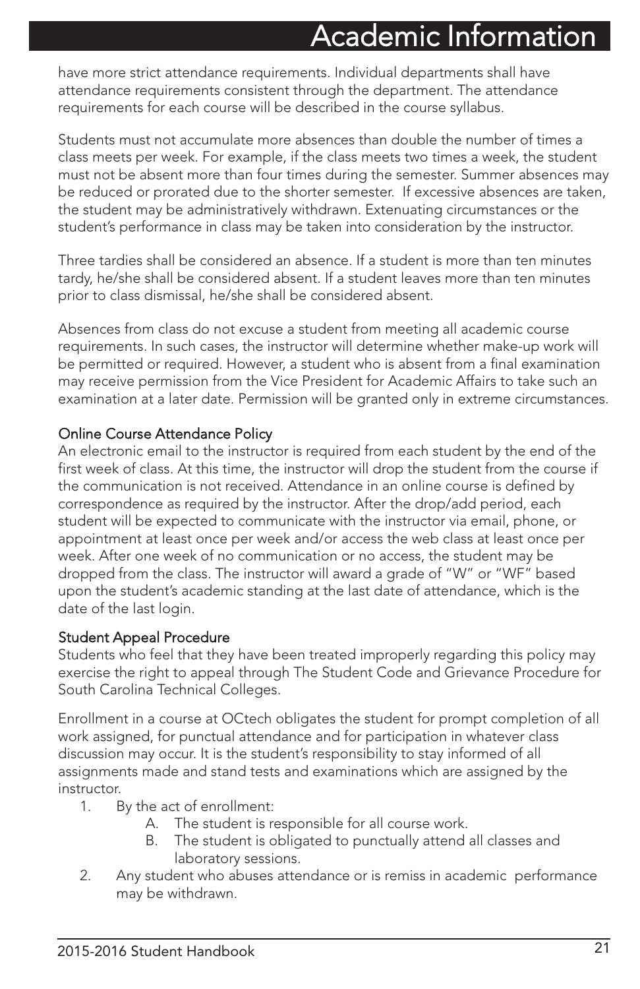have more strict attendance requirements. Individual departments shall have attendance requirements consistent through the department. The attendance requirements for each course will be described in the course syllabus.

Students must not accumulate more absences than double the number of times a class meets per week. For example, if the class meets two times a week, the student must not be absent more than four times during the semester. Summer absences may be reduced or prorated due to the shorter semester. If excessive absences are taken, the student may be administratively withdrawn. Extenuating circumstances or the student's performance in class may be taken into consideration by the instructor.

Three tardies shall be considered an absence. If a student is more than ten minutes tardy, he/she shall be considered absent. If a student leaves more than ten minutes prior to class dismissal, he/she shall be considered absent.

Absences from class do not excuse a student from meeting all academic course requirements. In such cases, the instructor will determine whether make-up work will be permitted or required. However, a student who is absent from a final examination may receive permission from the Vice President for Academic Affairs to take such an examination at a later date. Permission will be granted only in extreme circumstances.

#### Online Course Attendance Policy

An electronic email to the instructor is required from each student by the end of the first week of class. At this time, the instructor will drop the student from the course if the communication is not received. Attendance in an online course is defined by correspondence as required by the instructor. After the drop/add period, each student will be expected to communicate with the instructor via email, phone, or appointment at least once per week and/or access the web class at least once per week. After one week of no communication or no access, the student may be dropped from the class. The instructor will award a grade of "W" or "WF" based upon the student's academic standing at the last date of attendance, which is the date of the last login.

#### Student Appeal Procedure

Students who feel that they have been treated improperly regarding this policy may exercise the right to appeal through The Student Code and Grievance Procedure for South Carolina Technical Colleges.

Enrollment in a course at OCtech obligates the student for prompt completion of all work assigned, for punctual attendance and for participation in whatever class discussion may occur. It is the student's responsibility to stay informed of all assignments made and stand tests and examinations which are assigned by the instructor.

- 1. By the act of enrollment:
	- A. The student is responsible for all course work.
	- B. The student is obligated to punctually attend all classes and laboratory sessions.
- 2. Any student who abuses attendance or is remiss in academic performance may be withdrawn.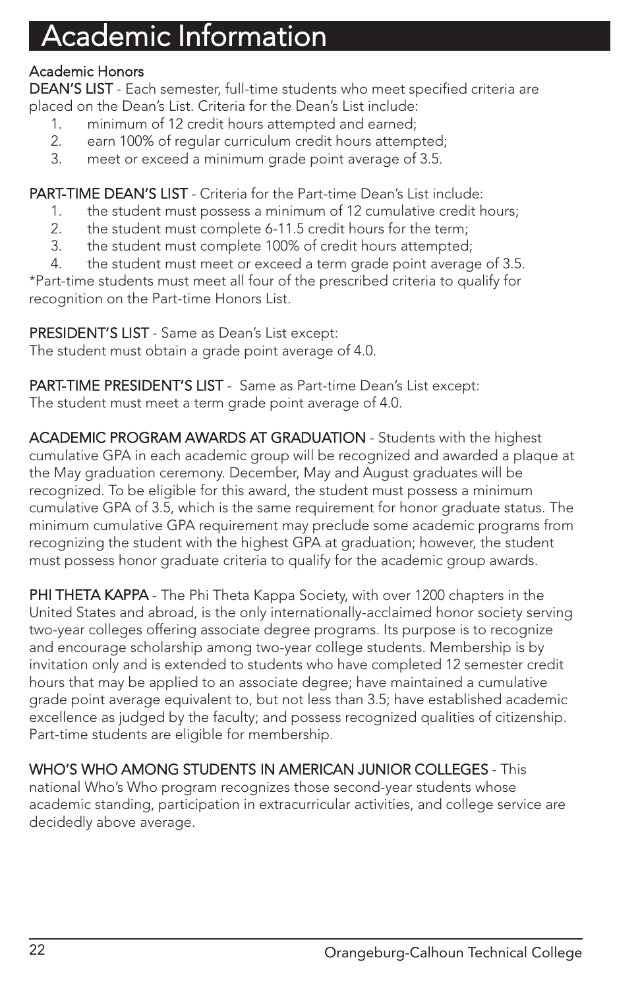#### Academic Honors

DEAN'S LIST - Each semester, full-time students who meet specified criteria are placed on the Dean's List. Criteria for the Dean's List include:

- 1. minimum of 12 credit hours attempted and earned;
- 2. earn 100% of regular curriculum credit hours attempted;
- 3. meet or exceed a minimum grade point average of 3.5.

PART-TIME DEAN'S LIST - Criteria for the Part-time Dean's List include:

- 1. the student must possess a minimum of 12 cumulative credit hours;
- 2. the student must complete 6-11.5 credit hours for the term;
- 3. the student must complete 100% of credit hours attempted;
- 4. the student must meet or exceed a term grade point average of 3.5.

\*Part-time students must meet all four of the prescribed criteria to qualify for recognition on the Part-time Honors List.

PRESIDENT'S LIST - Same as Dean's List except: The student must obtain a grade point average of 4.0.

PART-TIME PRESIDENT'S LIST - Same as Part-time Dean's List except: The student must meet a term grade point average of 4.0.

ACADEMIC PROGRAM AWARDS AT GRADUATION - Students with the highest cumulative GPA in each academic group will be recognized and awarded a plaque at the May graduation ceremony. December, May and August graduates will be recognized. To be eligible for this award, the student must possess a minimum cumulative GPA of 3.5, which is the same requirement for honor graduate status. The minimum cumulative GPA requirement may preclude some academic programs from recognizing the student with the highest GPA at graduation; however, the student must possess honor graduate criteria to qualify for the academic group awards.

PHI THETA KAPPA - The Phi Theta Kappa Society, with over 1200 chapters in the United States and abroad, is the only internationally-acclaimed honor society serving two-year colleges offering associate degree programs. Its purpose is to recognize and encourage scholarship among two-year college students. Membership is by invitation only and is extended to students who have completed 12 semester credit hours that may be applied to an associate degree; have maintained a cumulative grade point average equivalent to, but not less than 3.5; have established academic excellence as judged by the faculty; and possess recognized qualities of citizenship. Part-time students are eligible for membership.

WHO'S WHO AMONG STUDENTS IN AMERICAN JUNIOR COLLEGES - This national Who's Who program recognizes those second-year students whose academic standing, participation in extracurricular activities, and college service are decidedly above average.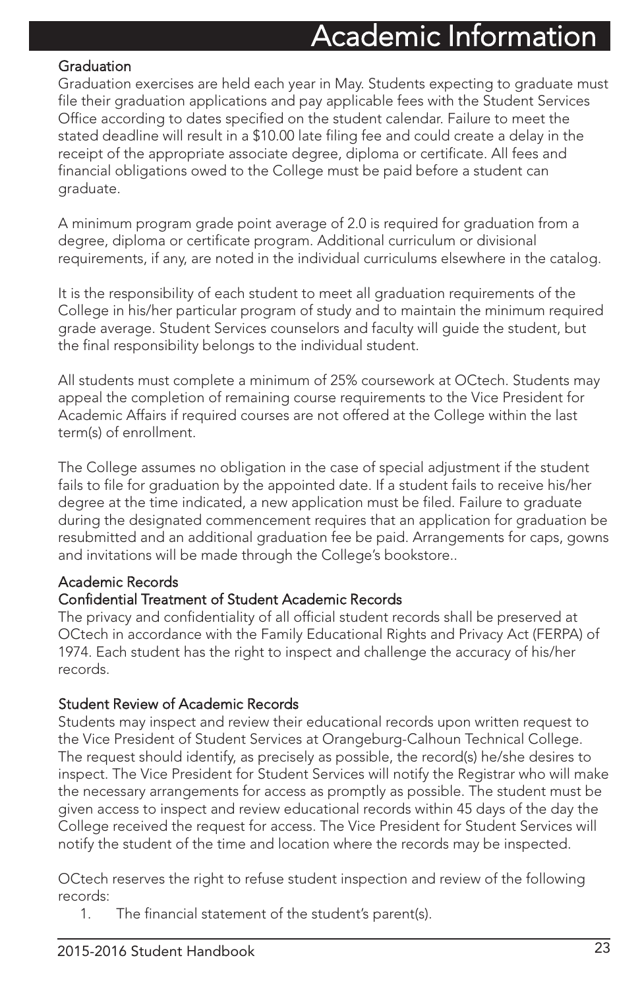#### **Graduation**

Graduation exercises are held each year in May. Students expecting to graduate must file their graduation applications and pay applicable fees with the Student Services Office according to dates specified on the student calendar. Failure to meet the stated deadline will result in a \$10.00 late filing fee and could create a delay in the receipt of the appropriate associate degree, diploma or certificate. All fees and financial obligations owed to the College must be paid before a student can graduate.

A minimum program grade point average of 2.0 is required for graduation from a degree, diploma or certificate program. Additional curriculum or divisional requirements, if any, are noted in the individual curriculums elsewhere in the catalog.

It is the responsibility of each student to meet all graduation requirements of the College in his/her particular program of study and to maintain the minimum required grade average. Student Services counselors and faculty will guide the student, but the final responsibility belongs to the individual student.

All students must complete a minimum of 25% coursework at OCtech. Students may appeal the completion of remaining course requirements to the Vice President for Academic Affairs if required courses are not offered at the College within the last term(s) of enrollment.

The College assumes no obligation in the case of special adjustment if the student fails to file for graduation by the appointed date. If a student fails to receive his/her degree at the time indicated, a new application must be filed. Failure to graduate during the designated commencement requires that an application for graduation be resubmitted and an additional graduation fee be paid. Arrangements for caps, gowns and invitations will be made through the College's bookstore..

#### Academic Records

#### Confidential Treatment of Student Academic Records

The privacy and confidentiality of all official student records shall be preserved at OCtech in accordance with the Family Educational Rights and Privacy Act (FERPA) of 1974. Each student has the right to inspect and challenge the accuracy of his/her records.

#### Student Review of Academic Records

Students may inspect and review their educational records upon written request to the Vice President of Student Services at Orangeburg-Calhoun Technical College. The request should identify, as precisely as possible, the record(s) he/she desires to inspect. The Vice President for Student Services will notify the Registrar who will make the necessary arrangements for access as promptly as possible. The student must be given access to inspect and review educational records within 45 days of the day the College received the request for access. The Vice President for Student Services will notify the student of the time and location where the records may be inspected.

OCtech reserves the right to refuse student inspection and review of the following records:

1. The financial statement of the student's parent(s).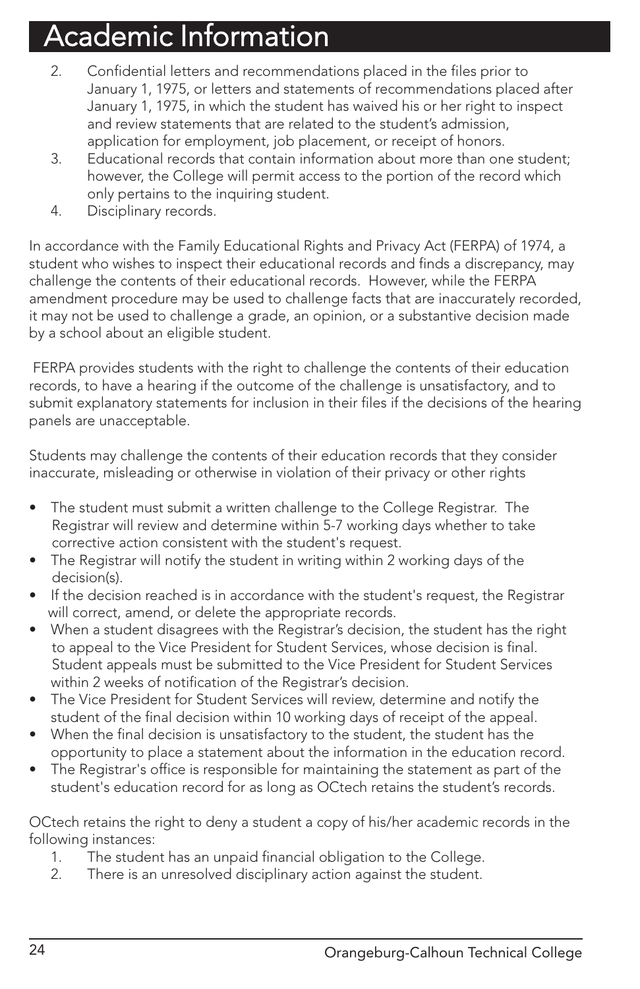- 2. Confidential letters and recommendations placed in the files prior to January 1, 1975, or letters and statements of recommendations placed after January 1, 1975, in which the student has waived his or her right to inspect and review statements that are related to the student's admission, application for employment, job placement, or receipt of honors.
- 3. Educational records that contain information about more than one student; however, the College will permit access to the portion of the record which only pertains to the inquiring student.
- 4. Disciplinary records.

In accordance with the Family Educational Rights and Privacy Act (FERPA) of 1974, a student who wishes to inspect their educational records and finds a discrepancy, may challenge the contents of their educational records. However, while the FERPA amendment procedure may be used to challenge facts that are inaccurately recorded, it may not be used to challenge a grade, an opinion, or a substantive decision made by a school about an eligible student.

FERPA provides students with the right to challenge the contents of their education records, to have a hearing if the outcome of the challenge is unsatisfactory, and to submit explanatory statements for inclusion in their files if the decisions of the hearing panels are unacceptable.

Students may challenge the contents of their education records that they consider inaccurate, misleading or otherwise in violation of their privacy or other rights

- The student must submit a written challenge to the College Registrar. The Registrar will review and determine within 5-7 working days whether to take corrective action consistent with the student's request.
- The Registrar will notify the student in writing within 2 working days of the decision(s).
- If the decision reached is in accordance with the student's request, the Registrar will correct, amend, or delete the appropriate records.
- When a student disagrees with the Registrar's decision, the student has the right to appeal to the Vice President for Student Services, whose decision is final. Student appeals must be submitted to the Vice President for Student Services within 2 weeks of notification of the Registrar's decision.
- The Vice President for Student Services will review, determine and notify the student of the final decision within 10 working days of receipt of the appeal.
- When the final decision is unsatisfactory to the student, the student has the opportunity to place a statement about the information in the education record.
- The Registrar's office is responsible for maintaining the statement as part of the student's education record for as long as OCtech retains the student's records.

OCtech retains the right to deny a student a copy of his/her academic records in the following instances:

- 1. The student has an unpaid financial obligation to the College.
- 2. There is an unresolved disciplinary action against the student.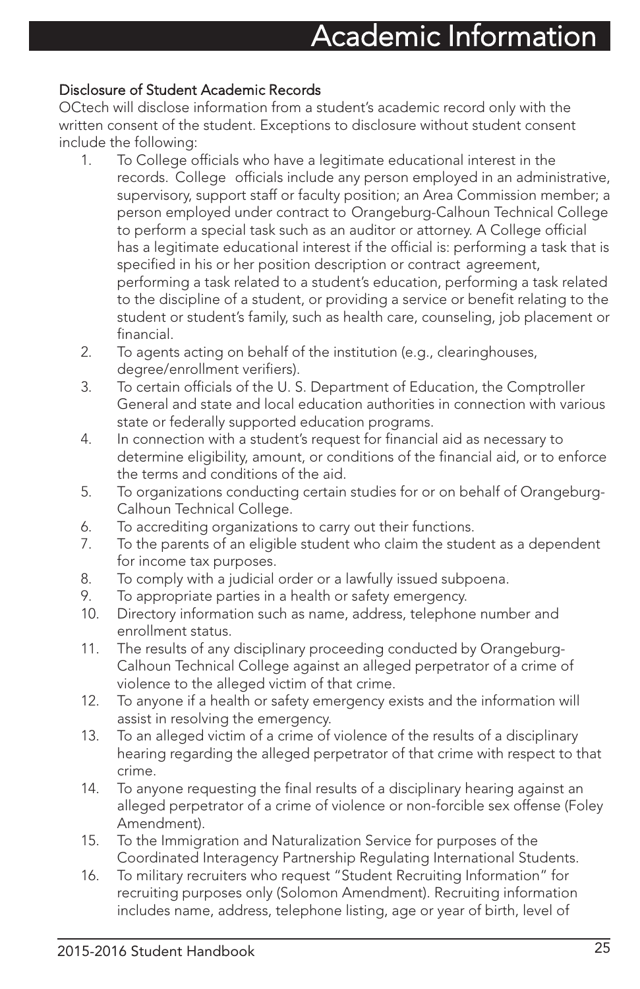#### Disclosure of Student Academic Records

OCtech will disclose information from a student's academic record only with the written consent of the student. Exceptions to disclosure without student consent include the following:

- 1. To College officials who have a legitimate educational interest in the records. College officials include any person employed in an administrative, supervisory, support staff or faculty position; an Area Commission member; a person employed under contract to Orangeburg-Calhoun Technical College to perform a special task such as an auditor or attorney. A College official has a legitimate educational interest if the official is: performing a task that is specified in his or her position description or contract agreement, performing a task related to a student's education, performing a task related to the discipline of a student, or providing a service or benefit relating to the student or student's family, such as health care, counseling, job placement or financial.
	- 2. To agents acting on behalf of the institution (e.g., clearinghouses, degree/enrollment verifiers).
	- 3. To certain officials of the U. S. Department of Education, the Comptroller General and state and local education authorities in connection with various state or federally supported education programs.
	- 4. In connection with a student's request for financial aid as necessary to determine eligibility, amount, or conditions of the financial aid, or to enforce the terms and conditions of the aid.
	- 5. To organizations conducting certain studies for or on behalf of Orangeburg-Calhoun Technical College.
	- 6. To accrediting organizations to carry out their functions.
	- 7. To the parents of an eligible student who claim the student as a dependent for income tax purposes.
	- 8. To comply with a judicial order or a lawfully issued subpoena.
	- 9. To appropriate parties in a health or safety emergency.
	- 10. Directory information such as name, address, telephone number and enrollment status.
	- 11. The results of any disciplinary proceeding conducted by Orangeburg-Calhoun Technical College against an alleged perpetrator of a crime of violence to the alleged victim of that crime.
	- 12. To anyone if a health or safety emergency exists and the information will assist in resolving the emergency.
	- 13. To an alleged victim of a crime of violence of the results of a disciplinary hearing regarding the alleged perpetrator of that crime with respect to that crime.
	- 14. To anyone requesting the final results of a disciplinary hearing against an alleged perpetrator of a crime of violence or non-forcible sex offense (Foley Amendment).
	- 15. To the Immigration and Naturalization Service for purposes of the Coordinated Interagency Partnership Regulating International Students.
	- 16. To military recruiters who request "Student Recruiting Information" for recruiting purposes only (Solomon Amendment). Recruiting information includes name, address, telephone listing, age or year of birth, level of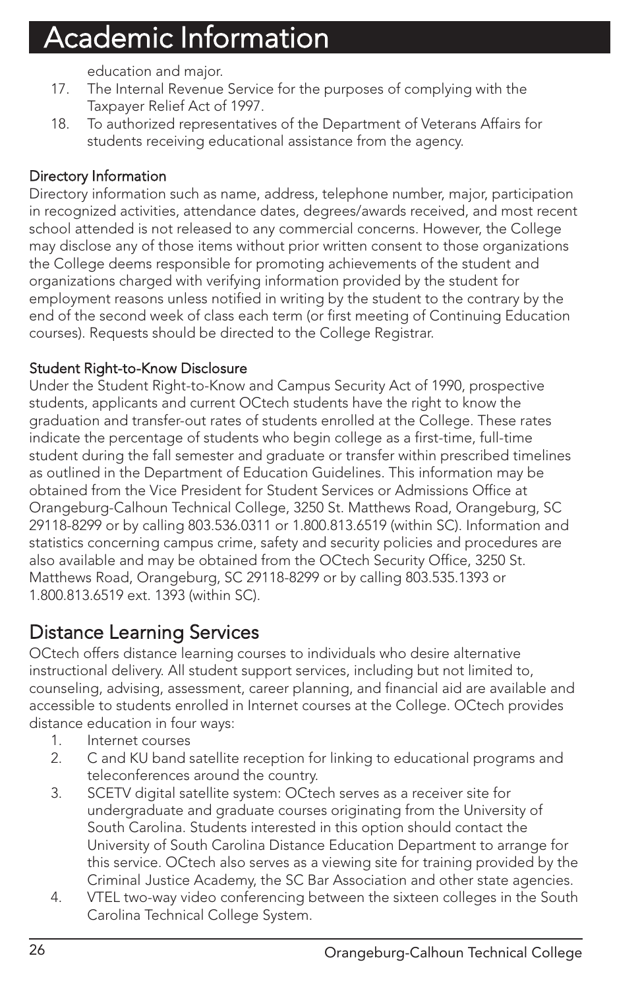education and major.

- 17. The Internal Revenue Service for the purposes of complying with the Taxpayer Relief Act of 1997.
- 18. To authorized representatives of the Department of Veterans Affairs for students receiving educational assistance from the agency.

#### Directory Information

Directory information such as name, address, telephone number, major, participation in recognized activities, attendance dates, degrees/awards received, and most recent school attended is not released to any commercial concerns. However, the College may disclose any of those items without prior written consent to those organizations the College deems responsible for promoting achievements of the student and organizations charged with verifying information provided by the student for employment reasons unless notified in writing by the student to the contrary by the end of the second week of class each term (or first meeting of Continuing Education courses). Requests should be directed to the College Registrar.

#### Student Right-to-Know Disclosure

Under the Student Right-to-Know and Campus Security Act of 1990, prospective students, applicants and current OCtech students have the right to know the graduation and transfer-out rates of students enrolled at the College. These rates indicate the percentage of students who begin college as a first-time, full-time student during the fall semester and graduate or transfer within prescribed timelines as outlined in the Department of Education Guidelines. This information may be obtained from the Vice President for Student Services or Admissions Office at Orangeburg-Calhoun Technical College, 3250 St. Matthews Road, Orangeburg, SC 29118-8299 or by calling 803.536.0311 or 1.800.813.6519 (within SC). Information and statistics concerning campus crime, safety and security policies and procedures are also available and may be obtained from the OCtech Security Office, 3250 St. Matthews Road, Orangeburg, SC 29118-8299 or by calling 803.535.1393 or 1.800.813.6519 ext. 1393 (within SC).

### Distance Learning Services

OCtech offers distance learning courses to individuals who desire alternative instructional delivery. All student support services, including but not limited to, counseling, advising, assessment, career planning, and financial aid are available and accessible to students enrolled in Internet courses at the College. OCtech provides distance education in four ways:

- 1. Internet courses
- 2. C and KU band satellite reception for linking to educational programs and teleconferences around the country.
- 3. SCETV digital satellite system: OCtech serves as a receiver site for undergraduate and graduate courses originating from the University of South Carolina. Students interested in this option should contact the University of South Carolina Distance Education Department to arrange for this service. OCtech also serves as a viewing site for training provided by the Criminal Justice Academy, the SC Bar Association and other state agencies.
- 4. VTEL two-way video conferencing between the sixteen colleges in the South Carolina Technical College System.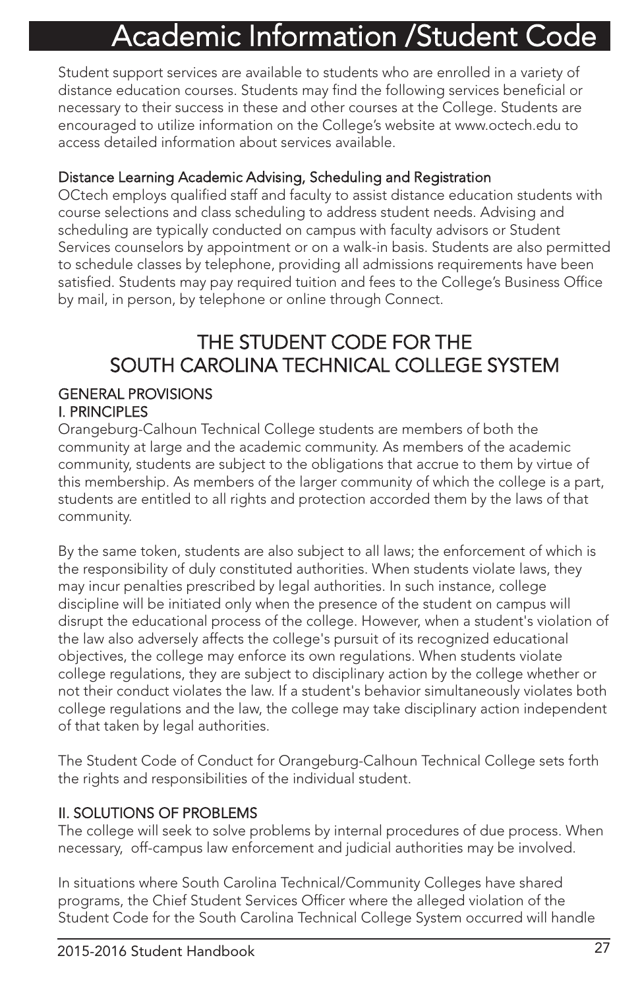# Academic Information /Student Code

Student support services are available to students who are enrolled in a variety of distance education courses. Students may find the following services beneficial or necessary to their success in these and other courses at the College. Students are encouraged to utilize information on the College's website at www.octech.edu to access detailed information about services available.

#### Distance Learning Academic Advising, Scheduling and Registration

OCtech employs qualified staff and faculty to assist distance education students with course selections and class scheduling to address student needs. Advising and scheduling are typically conducted on campus with faculty advisors or Student Services counselors by appointment or on a walk-in basis. Students are also permitted to schedule classes by telephone, providing all admissions requirements have been satisfied. Students may pay required tuition and fees to the College's Business Office by mail, in person, by telephone or online through Connect.

### THE STUDENT CODE FOR THE SOUTH CAROLINA TECHNICAL COLLEGE SYSTEM

#### GENERAL PROVISIONS I. PRINCIPLES

Orangeburg-Calhoun Technical College students are members of both the community at large and the academic community. As members of the academic community, students are subject to the obligations that accrue to them by virtue of this membership. As members of the larger community of which the college is a part, students are entitled to all rights and protection accorded them by the laws of that community.

By the same token, students are also subject to all laws; the enforcement of which is the responsibility of duly constituted authorities. When students violate laws, they may incur penalties prescribed by legal authorities. In such instance, college discipline will be initiated only when the presence of the student on campus will disrupt the educational process of the college. However, when a student's violation of the law also adversely affects the college's pursuit of its recognized educational objectives, the college may enforce its own regulations. When students violate college regulations, they are subject to disciplinary action by the college whether or not their conduct violates the law. If a student's behavior simultaneously violates both college regulations and the law, the college may take disciplinary action independent of that taken by legal authorities.

The Student Code of Conduct for Orangeburg-Calhoun Technical College sets forth the rights and responsibilities of the individual student.

#### II. SOLUTIONS OF PROBLEMS

The college will seek to solve problems by internal procedures of due process. When necessary, off-campus law enforcement and judicial authorities may be involved.

In situations where South Carolina Technical/Community Colleges have shared programs, the Chief Student Services Officer where the alleged violation of the Student Code for the South Carolina Technical College System occurred will handle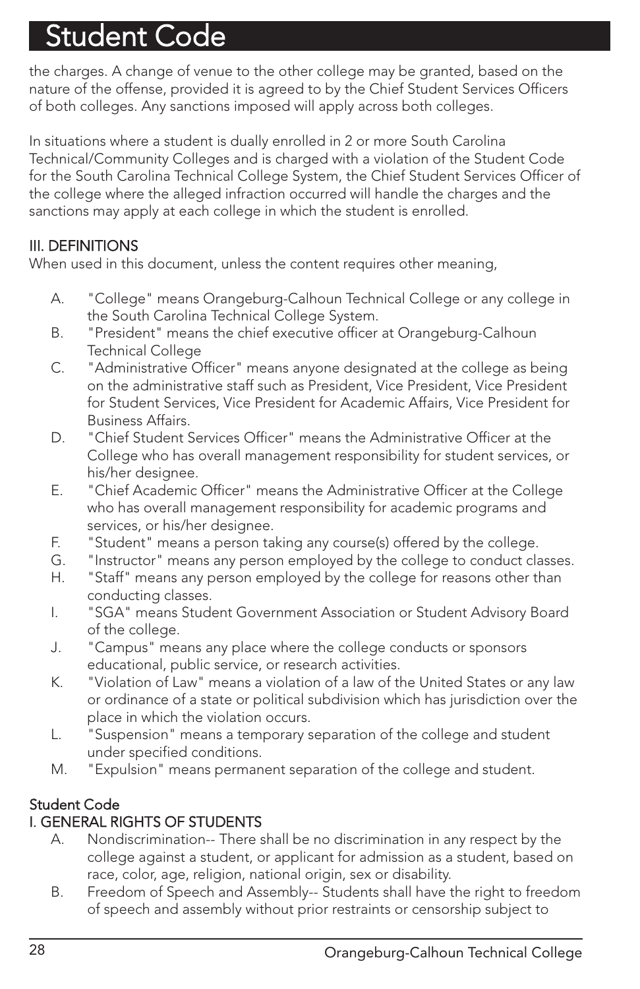the charges. A change of venue to the other college may be granted, based on the nature of the offense, provided it is agreed to by the Chief Student Services Officers of both colleges. Any sanctions imposed will apply across both colleges.

In situations where a student is dually enrolled in 2 or more South Carolina Technical/Community Colleges and is charged with a violation of the Student Code for the South Carolina Technical College System, the Chief Student Services Officer of the college where the alleged infraction occurred will handle the charges and the sanctions may apply at each college in which the student is enrolled.

#### III. DEFINITIONS

When used in this document, unless the content requires other meaning,

- A. "College" means Orangeburg-Calhoun Technical College or any college in the South Carolina Technical College System.
- B. "President" means the chief executive officer at Orangeburg-Calhoun Technical College
- C. "Administrative Officer" means anyone designated at the college as being on the administrative staff such as President, Vice President, Vice President for Student Services, Vice President for Academic Affairs, Vice President for Business Affairs.
- D. "Chief Student Services Officer" means the Administrative Officer at the College who has overall management responsibility for student services, or his/her designee.
- E. "Chief Academic Officer" means the Administrative Officer at the College who has overall management responsibility for academic programs and services, or his/her designee.
- F. "Student" means a person taking any course(s) offered by the college.
- G. "Instructor" means any person employed by the college to conduct classes.
- H. "Staff" means any person employed by the college for reasons other than conducting classes.
- I. "SGA" means Student Government Association or Student Advisory Board of the college.
- J. "Campus" means any place where the college conducts or sponsors educational, public service, or research activities.
- K. "Violation of Law" means a violation of a law of the United States or any law or ordinance of a state or political subdivision which has jurisdiction over the place in which the violation occurs.
- L. "Suspension" means a temporary separation of the college and student under specified conditions.
- M. "Expulsion" means permanent separation of the college and student.

#### Student Code

#### I. GENERAL RIGHTS OF STUDENTS

- A. Nondiscrimination-- There shall be no discrimination in any respect by the college against a student, or applicant for admission as a student, based on race, color, age, religion, national origin, sex or disability.
- B. Freedom of Speech and Assembly-- Students shall have the right to freedom of speech and assembly without prior restraints or censorship subject to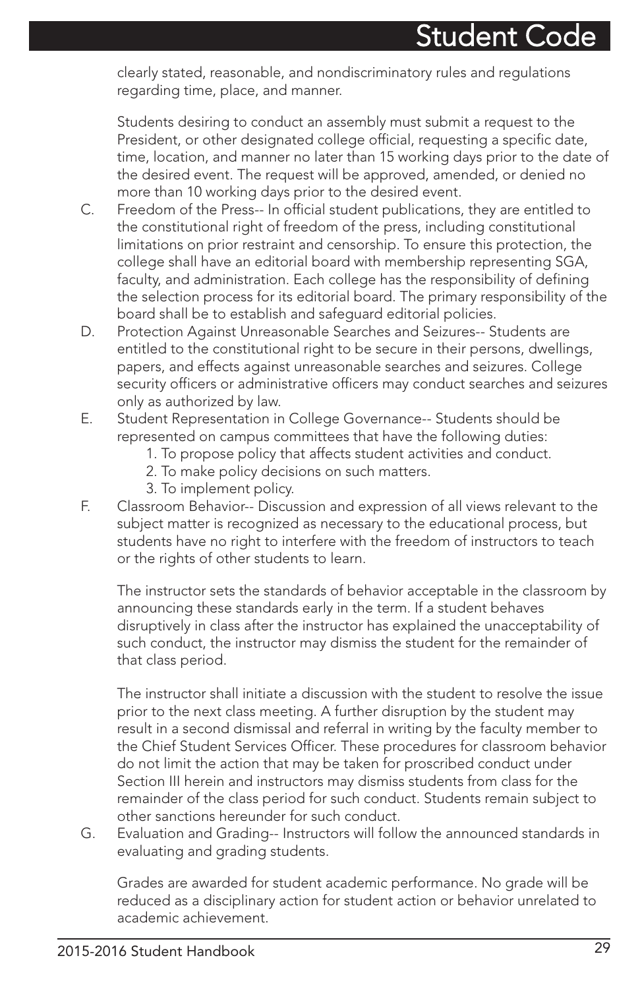clearly stated, reasonable, and nondiscriminatory rules and regulations regarding time, place, and manner.

Students desiring to conduct an assembly must submit a request to the President, or other designated college official, requesting a specific date, time, location, and manner no later than 15 working days prior to the date of the desired event. The request will be approved, amended, or denied no more than 10 working days prior to the desired event.

- C. Freedom of the Press-- In official student publications, they are entitled to the constitutional right of freedom of the press, including constitutional limitations on prior restraint and censorship. To ensure this protection, the college shall have an editorial board with membership representing SGA, faculty, and administration. Each college has the responsibility of defining the selection process for its editorial board. The primary responsibility of the board shall be to establish and safeguard editorial policies.
- D. Protection Against Unreasonable Searches and Seizures-- Students are entitled to the constitutional right to be secure in their persons, dwellings, papers, and effects against unreasonable searches and seizures. College security officers or administrative officers may conduct searches and seizures only as authorized by law.
- E. Student Representation in College Governance-- Students should be represented on campus committees that have the following duties:
	- 1. To propose policy that affects student activities and conduct.
	- 2. To make policy decisions on such matters.
	- 3. To implement policy.
- F. Classroom Behavior-- Discussion and expression of all views relevant to the subject matter is recognized as necessary to the educational process, but students have no right to interfere with the freedom of instructors to teach or the rights of other students to learn.

The instructor sets the standards of behavior acceptable in the classroom by announcing these standards early in the term. If a student behaves disruptively in class after the instructor has explained the unacceptability of such conduct, the instructor may dismiss the student for the remainder of that class period.

The instructor shall initiate a discussion with the student to resolve the issue prior to the next class meeting. A further disruption by the student may result in a second dismissal and referral in writing by the faculty member to the Chief Student Services Officer. These procedures for classroom behavior do not limit the action that may be taken for proscribed conduct under Section III herein and instructors may dismiss students from class for the remainder of the class period for such conduct. Students remain subject to other sanctions hereunder for such conduct.

G. Evaluation and Grading-- Instructors will follow the announced standards in evaluating and grading students.

Grades are awarded for student academic performance. No grade will be reduced as a disciplinary action for student action or behavior unrelated to academic achievement.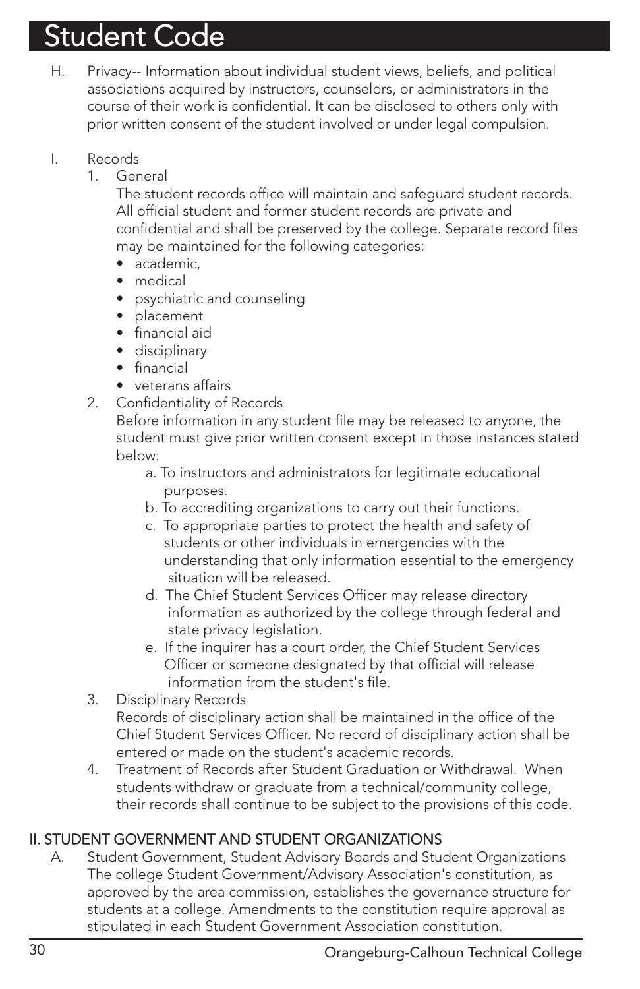- H. Privacy-- Information about individual student views, beliefs, and political associations acquired by instructors, counselors, or administrators in the course of their work is confidential. It can be disclosed to others only with prior written consent of the student involved or under legal compulsion.
- I. Records
	- 1. General

The student records office will maintain and safeguard student records. All official student and former student records are private and confidential and shall be preserved by the college. Separate record files may be maintained for the following categories:

- academic,
- medical
- psychiatric and counseling
- placement
- financial aid
- disciplinary
- financial
- veterans affairs
- 2. Confidentiality of Records

Before information in any student file may be released to anyone, the student must give prior written consent except in those instances stated below:

- a. To instructors and administrators for legitimate educational purposes.
- b. To accrediting organizations to carry out their functions.
- c. To appropriate parties to protect the health and safety of students or other individuals in emergencies with the understanding that only information essential to the emergency situation will be released.
- d. The Chief Student Services Officer may release directory information as authorized by the college through federal and state privacy legislation.
- e. If the inquirer has a court order, the Chief Student Services Officer or someone designated by that official will release information from the student's file.
- 3. Disciplinary Records

Records of disciplinary action shall be maintained in the office of the Chief Student Services Officer. No record of disciplinary action shall be entered or made on the student's academic records.

4. Treatment of Records after Student Graduation or Withdrawal. When students withdraw or graduate from a technical/community college, their records shall continue to be subject to the provisions of this code.

#### II. STUDENT GOVERNMENT AND STUDENT ORGANIZATIONS

A. Student Government, Student Advisory Boards and Student Organizations The college Student Government/Advisory Association's constitution, as approved by the area commission, establishes the governance structure for students at a college. Amendments to the constitution require approval as stipulated in each Student Government Association constitution.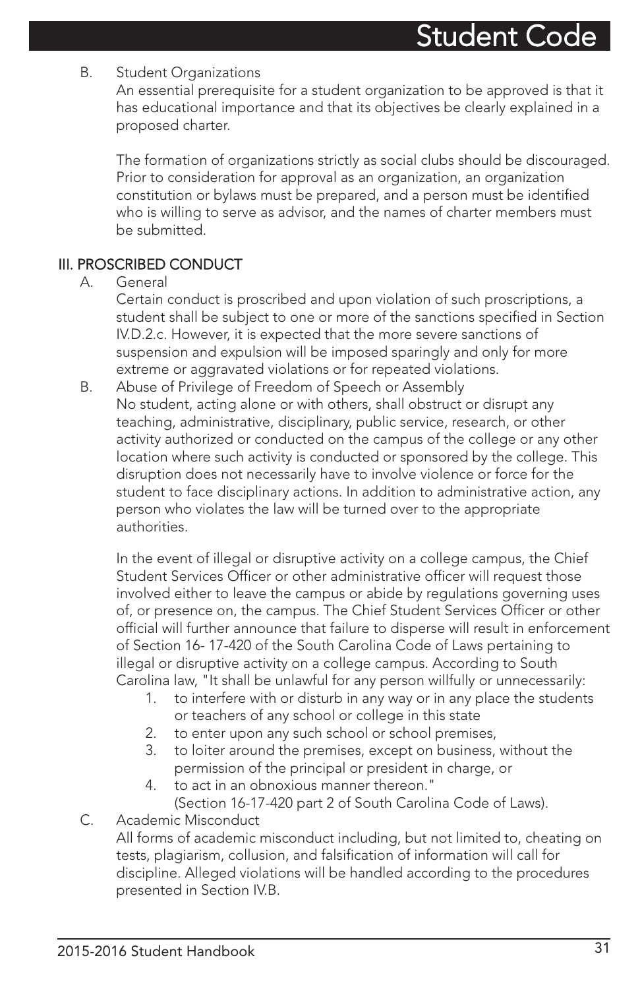#### B. Student Organizations

An essential prerequisite for a student organization to be approved is that it has educational importance and that its objectives be clearly explained in a proposed charter.

The formation of organizations strictly as social clubs should be discouraged. Prior to consideration for approval as an organization, an organization constitution or bylaws must be prepared, and a person must be identified who is willing to serve as advisor, and the names of charter members must be submitted.

#### III. PROSCRIBED CONDUCT

#### A. General

Certain conduct is proscribed and upon violation of such proscriptions, a student shall be subject to one or more of the sanctions specified in Section IV.D.2.c. However, it is expected that the more severe sanctions of suspension and expulsion will be imposed sparingly and only for more extreme or aggravated violations or for repeated violations.

B. Abuse of Privilege of Freedom of Speech or Assembly No student, acting alone or with others, shall obstruct or disrupt any teaching, administrative, disciplinary, public service, research, or other activity authorized or conducted on the campus of the college or any other location where such activity is conducted or sponsored by the college. This disruption does not necessarily have to involve violence or force for the student to face disciplinary actions. In addition to administrative action, any person who violates the law will be turned over to the appropriate authorities.

In the event of illegal or disruptive activity on a college campus, the Chief Student Services Officer or other administrative officer will request those involved either to leave the campus or abide by regulations governing uses of, or presence on, the campus. The Chief Student Services Officer or other official will further announce that failure to disperse will result in enforcement of Section 16- 17-420 of the South Carolina Code of Laws pertaining to illegal or disruptive activity on a college campus. According to South Carolina law, "It shall be unlawful for any person willfully or unnecessarily:

- 1. to interfere with or disturb in any way or in any place the students or teachers of any school or college in this state
- 2. to enter upon any such school or school premises,
- 3. to loiter around the premises, except on business, without the permission of the principal or president in charge, or
- 4. to act in an obnoxious manner thereon." (Section 16-17-420 part 2 of South Carolina Code of Laws).

#### C. Academic Misconduct

All forms of academic misconduct including, but not limited to, cheating on tests, plagiarism, collusion, and falsification of information will call for discipline. Alleged violations will be handled according to the procedures presented in Section IV.B.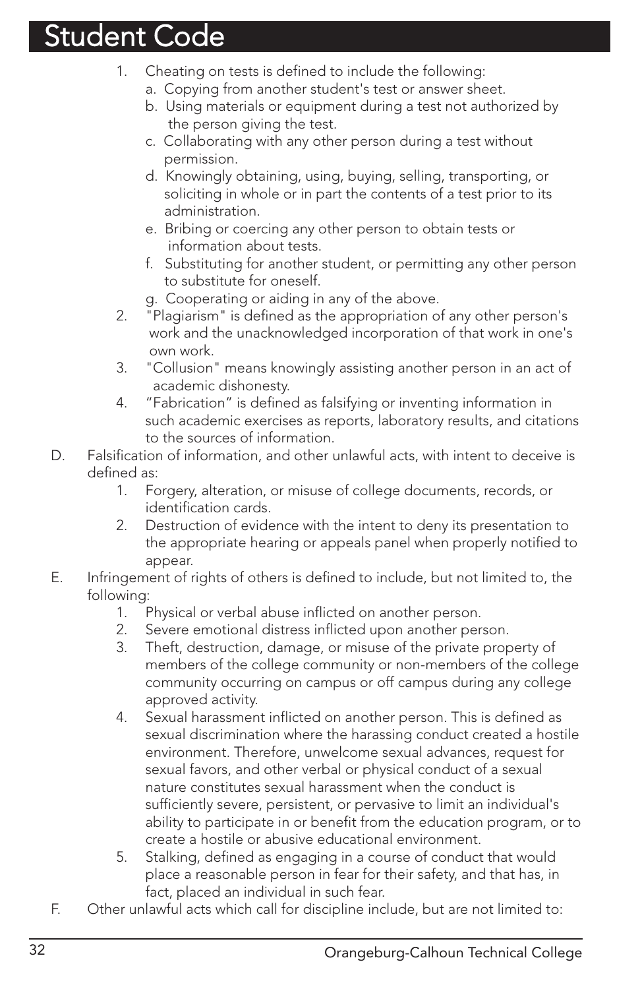- 1. Cheating on tests is defined to include the following:
	- a. Copying from another student's test or answer sheet.
	- b. Using materials or equipment during a test not authorized by the person giving the test.
	- c. Collaborating with any other person during a test without permission.
	- d. Knowingly obtaining, using, buying, selling, transporting, or soliciting in whole or in part the contents of a test prior to its administration.
	- e. Bribing or coercing any other person to obtain tests or information about tests.
	- f. Substituting for another student, or permitting any other person to substitute for oneself.
	- g. Cooperating or aiding in any of the above.
- 2. "Plagiarism" is defined as the appropriation of any other person's work and the unacknowledged incorporation of that work in one's own work.
- 3. "Collusion" means knowingly assisting another person in an act of academic dishonesty.
- 4. "Fabrication" is defined as falsifying or inventing information in such academic exercises as reports, laboratory results, and citations to the sources of information.
- D. Falsification of information, and other unlawful acts, with intent to deceive is defined as:
	- 1. Forgery, alteration, or misuse of college documents, records, or identification cards.
	- 2. Destruction of evidence with the intent to deny its presentation to the appropriate hearing or appeals panel when properly notified to appear.
- E. Infringement of rights of others is defined to include, but not limited to, the following:
	- 1. Physical or verbal abuse inflicted on another person.
	- 2. Severe emotional distress inflicted upon another person.
	- 3. Theft, destruction, damage, or misuse of the private property of members of the college community or non-members of the college community occurring on campus or off campus during any college approved activity.
	- 4. Sexual harassment inflicted on another person. This is defined as sexual discrimination where the harassing conduct created a hostile environment. Therefore, unwelcome sexual advances, request for sexual favors, and other verbal or physical conduct of a sexual nature constitutes sexual harassment when the conduct is sufficiently severe, persistent, or pervasive to limit an individual's ability to participate in or benefit from the education program, or to create a hostile or abusive educational environment.
	- 5. Stalking, defined as engaging in a course of conduct that would place a reasonable person in fear for their safety, and that has, in fact, placed an individual in such fear.
- F. Other unlawful acts which call for discipline include, but are not limited to: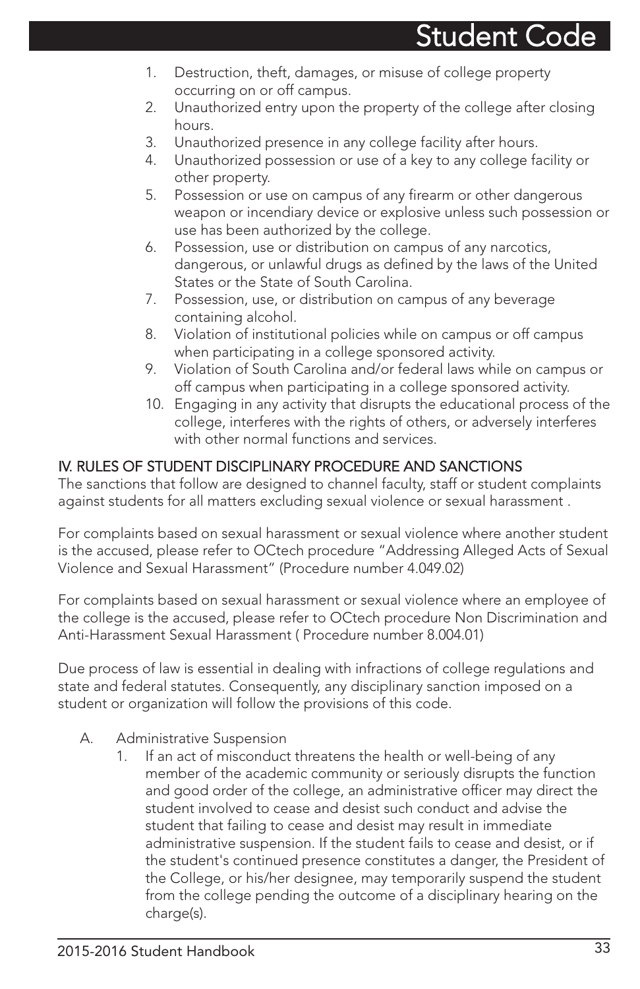- 1. Destruction, theft, damages, or misuse of college property occurring on or off campus.
- 2. Unauthorized entry upon the property of the college after closing hours.
- 3. Unauthorized presence in any college facility after hours.
- 4. Unauthorized possession or use of a key to any college facility or other property.
- 5. Possession or use on campus of any firearm or other dangerous weapon or incendiary device or explosive unless such possession or use has been authorized by the college.
- 6. Possession, use or distribution on campus of any narcotics, dangerous, or unlawful drugs as defined by the laws of the United States or the State of South Carolina.
- 7. Possession, use, or distribution on campus of any beverage containing alcohol.
- 8. Violation of institutional policies while on campus or off campus when participating in a college sponsored activity.
- 9. Violation of South Carolina and/or federal laws while on campus or off campus when participating in a college sponsored activity.
- 10. Engaging in any activity that disrupts the educational process of the college, interferes with the rights of others, or adversely interferes with other normal functions and services

#### IV. RULES OF STUDENT DISCIPLINARY PROCEDURE AND SANCTIONS

The sanctions that follow are designed to channel faculty, staff or student complaints against students for all matters excluding sexual violence or sexual harassment .

For complaints based on sexual harassment or sexual violence where another student is the accused, please refer to OCtech procedure "Addressing Alleged Acts of Sexual Violence and Sexual Harassment" (Procedure number 4.049.02)

For complaints based on sexual harassment or sexual violence where an employee of the college is the accused, please refer to OCtech procedure Non Discrimination and Anti-Harassment Sexual Harassment ( Procedure number 8.004.01)

Due process of law is essential in dealing with infractions of college regulations and state and federal statutes. Consequently, any disciplinary sanction imposed on a student or organization will follow the provisions of this code.

- A. Administrative Suspension
	- 1. If an act of misconduct threatens the health or well-being of any member of the academic community or seriously disrupts the function and good order of the college, an administrative officer may direct the student involved to cease and desist such conduct and advise the student that failing to cease and desist may result in immediate administrative suspension. If the student fails to cease and desist, or if the student's continued presence constitutes a danger, the President of the College, or his/her designee, may temporarily suspend the student from the college pending the outcome of a disciplinary hearing on the charge(s).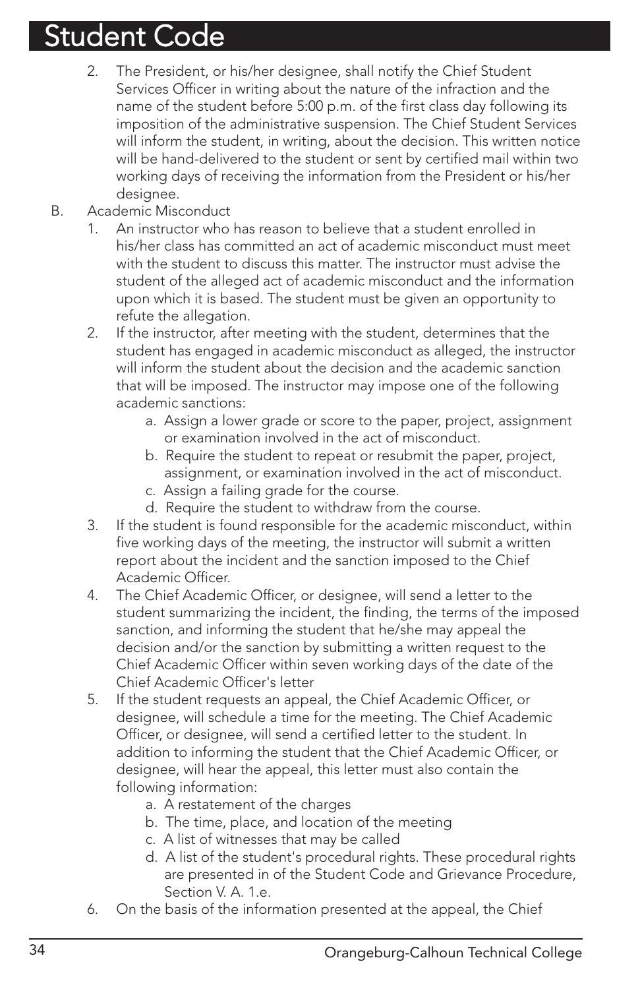- 2. The President, or his/her designee, shall notify the Chief Student Services Officer in writing about the nature of the infraction and the name of the student before 5:00 p.m. of the first class day following its imposition of the administrative suspension. The Chief Student Services will inform the student, in writing, about the decision. This written notice will be hand-delivered to the student or sent by certified mail within two working days of receiving the information from the President or his/her desianee.
- B. Academic Misconduct
	- 1. An instructor who has reason to believe that a student enrolled in his/her class has committed an act of academic misconduct must meet with the student to discuss this matter. The instructor must advise the student of the alleged act of academic misconduct and the information upon which it is based. The student must be given an opportunity to refute the allegation.
	- 2. If the instructor, after meeting with the student, determines that the student has engaged in academic misconduct as alleged, the instructor will inform the student about the decision and the academic sanction that will be imposed. The instructor may impose one of the following academic sanctions:
		- a. Assign a lower grade or score to the paper, project, assignment or examination involved in the act of misconduct.
		- b. Require the student to repeat or resubmit the paper, project, assignment, or examination involved in the act of misconduct.
		- c. Assign a failing grade for the course.
		- d. Require the student to withdraw from the course.
	- 3. If the student is found responsible for the academic misconduct, within five working days of the meeting, the instructor will submit a written report about the incident and the sanction imposed to the Chief Academic Officer.
	- 4. The Chief Academic Officer, or designee, will send a letter to the student summarizing the incident, the finding, the terms of the imposed sanction, and informing the student that he/she may appeal the decision and/or the sanction by submitting a written request to the Chief Academic Officer within seven working days of the date of the Chief Academic Officer's letter
	- 5. If the student requests an appeal, the Chief Academic Officer, or designee, will schedule a time for the meeting. The Chief Academic Officer, or designee, will send a certified letter to the student. In addition to informing the student that the Chief Academic Officer, or designee, will hear the appeal, this letter must also contain the following information:
		- a. A restatement of the charges
		- b. The time, place, and location of the meeting
		- c. A list of witnesses that may be called
		- d. A list of the student's procedural rights. These procedural rights are presented in of the Student Code and Grievance Procedure, Section V. A. 1.e.
	- 6. On the basis of the information presented at the appeal, the Chief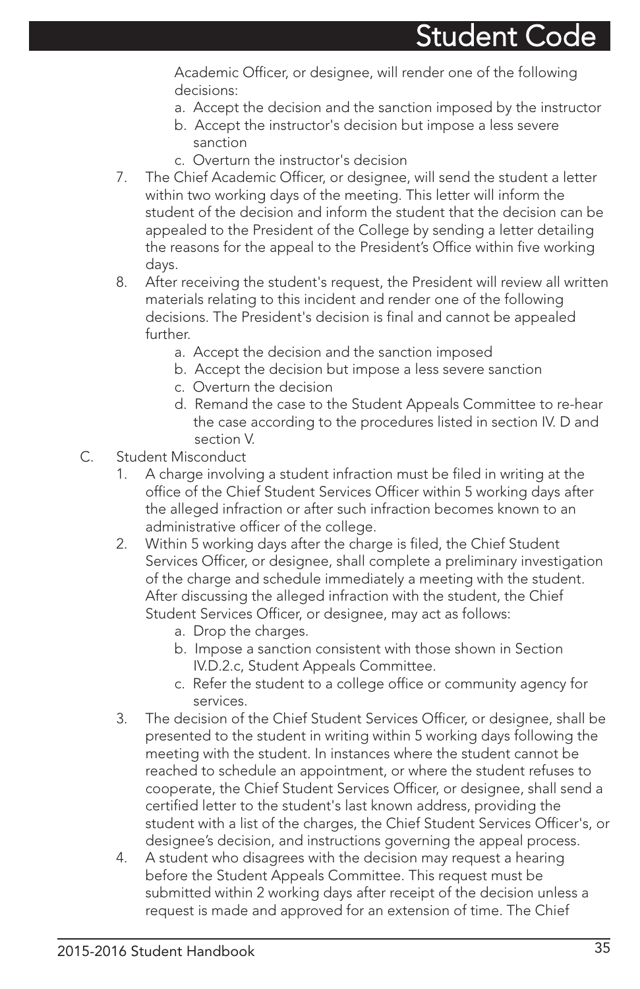Academic Officer, or designee, will render one of the following decisions:

- a. Accept the decision and the sanction imposed by the instructor
- b. Accept the instructor's decision but impose a less severe sanction
- c. Overturn the instructor's decision
- 7. The Chief Academic Officer, or designee, will send the student a letter within two working days of the meeting. This letter will inform the student of the decision and inform the student that the decision can be appealed to the President of the College by sending a letter detailing the reasons for the appeal to the President's Office within five working days.
- 8. After receiving the student's request, the President will review all written materials relating to this incident and render one of the following decisions. The President's decision is final and cannot be appealed further.
	- a. Accept the decision and the sanction imposed
	- b. Accept the decision but impose a less severe sanction
	- c. Overturn the decision
	- d. Remand the case to the Student Appeals Committee to re-hear the case according to the procedures listed in section IV. D and section V.
- C. Student Misconduct
	- 1. A charge involving a student infraction must be filed in writing at the office of the Chief Student Services Officer within 5 working days after the alleged infraction or after such infraction becomes known to an administrative officer of the college.
	- 2. Within 5 working days after the charge is filed, the Chief Student Services Officer, or designee, shall complete a preliminary investigation of the charge and schedule immediately a meeting with the student. After discussing the alleged infraction with the student, the Chief Student Services Officer, or designee, may act as follows:
		- a. Drop the charges.
		- b. Impose a sanction consistent with those shown in Section IV.D.2.c, Student Appeals Committee.
		- c. Refer the student to a college office or community agency for services.
	- 3. The decision of the Chief Student Services Officer, or designee, shall be presented to the student in writing within 5 working days following the meeting with the student. In instances where the student cannot be reached to schedule an appointment, or where the student refuses to cooperate, the Chief Student Services Officer, or designee, shall send a certified letter to the student's last known address, providing the student with a list of the charges, the Chief Student Services Officer's, or designee's decision, and instructions governing the appeal process.
	- 4. A student who disagrees with the decision may request a hearing before the Student Appeals Committee. This request must be submitted within 2 working days after receipt of the decision unless a request is made and approved for an extension of time. The Chief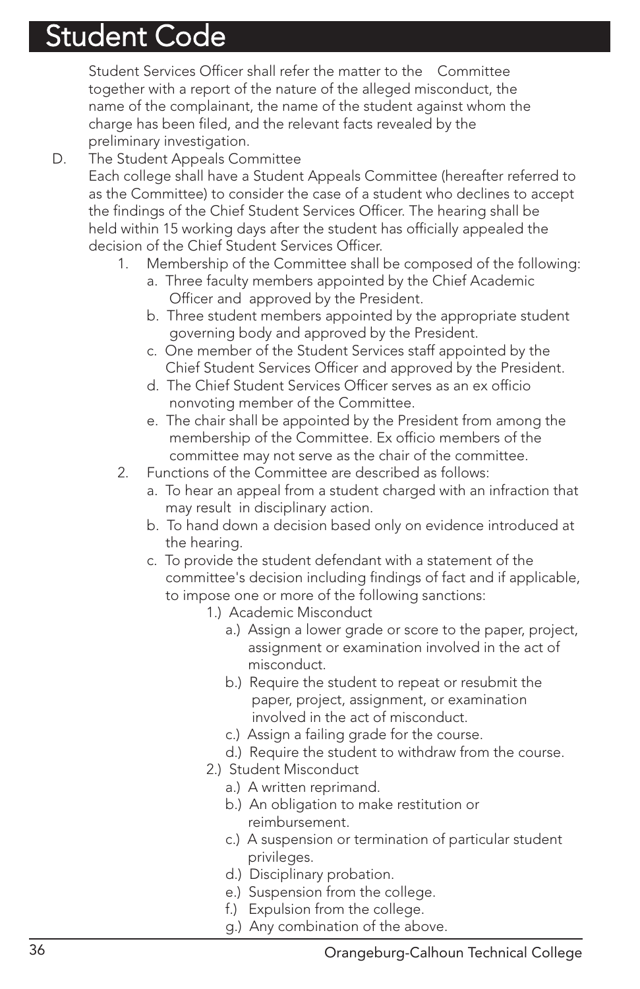Student Services Officer shall refer the matter to the Committee together with a report of the nature of the alleged misconduct, the name of the complainant, the name of the student against whom the charge has been filed, and the relevant facts revealed by the preliminary investigation.

D. The Student Appeals Committee

Each college shall have a Student Appeals Committee (hereafter referred to as the Committee) to consider the case of a student who declines to accept the findings of the Chief Student Services Officer. The hearing shall be held within 15 working days after the student has officially appealed the decision of the Chief Student Services Officer.

- 1. Membership of the Committee shall be composed of the following:
	- a. Three faculty members appointed by the Chief Academic Officer and approved by the President.
	- b. Three student members appointed by the appropriate student governing body and approved by the President.
	- c. One member of the Student Services staff appointed by the Chief Student Services Officer and approved by the President.
	- d. The Chief Student Services Officer serves as an ex officio nonvoting member of the Committee.
	- e. The chair shall be appointed by the President from among the membership of the Committee. Ex officio members of the committee may not serve as the chair of the committee.
- 2. Functions of the Committee are described as follows:
	- a. To hear an appeal from a student charged with an infraction that may result in disciplinary action.
	- b. To hand down a decision based only on evidence introduced at the hearing.
	- c. To provide the student defendant with a statement of the committee's decision including findings of fact and if applicable, to impose one or more of the following sanctions:
		- 1.) Academic Misconduct
			- a.) Assign a lower grade or score to the paper, project, assignment or examination involved in the act of misconduct.
			- b.) Require the student to repeat or resubmit the paper, project, assignment, or examination involved in the act of misconduct.
			- c.) Assign a failing grade for the course.
			- d.) Require the student to withdraw from the course.
		- 2.) Student Misconduct
			- a.) A written reprimand.
			- b.) An obligation to make restitution or reimbursement.
			- c.) A suspension or termination of particular student privileges.
			- d.) Disciplinary probation.
			- e.) Suspension from the college.
			- f.) Expulsion from the college.
			- g.) Any combination of the above.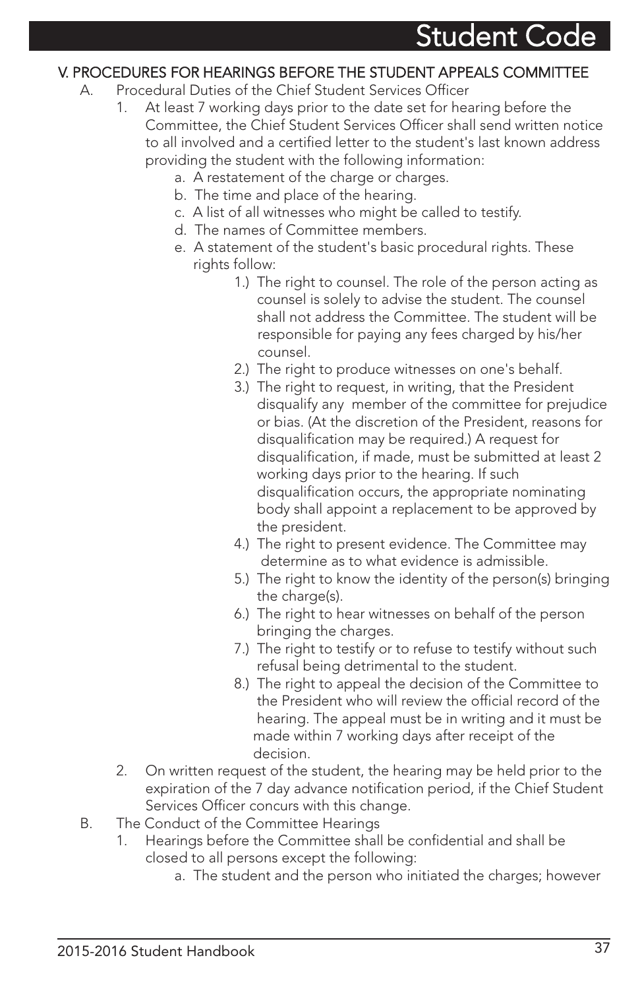#### V. PROCEDURES FOR HEARINGS BEFORE THE STUDENT APPEALS COMMITTEE

- A. Procedural Duties of the Chief Student Services Officer
	- 1. At least 7 working days prior to the date set for hearing before the Committee, the Chief Student Services Officer shall send written notice to all involved and a certified letter to the student's last known address providing the student with the following information:
		- a. A restatement of the charge or charges.
		- b. The time and place of the hearing.
		- c. A list of all witnesses who might be called to testify.
		- d. The names of Committee members.
		- e. A statement of the student's basic procedural rights. These rights follow:
			- 1.) The right to counsel. The role of the person acting as counsel is solely to advise the student. The counsel shall not address the Committee. The student will be responsible for paying any fees charged by his/her counsel.
			- 2.) The right to produce witnesses on one's behalf.
			- 3.) The right to request, in writing, that the President disqualify any member of the committee for prejudice or bias. (At the discretion of the President, reasons for disqualification may be required.) A request for disqualification, if made, must be submitted at least 2 working days prior to the hearing. If such disqualification occurs, the appropriate nominating body shall appoint a replacement to be approved by the president.
			- 4.) The right to present evidence. The Committee may determine as to what evidence is admissible.
			- 5.) The right to know the identity of the person(s) bringing the charge(s).
			- 6.) The right to hear witnesses on behalf of the person bringing the charges.
			- 7.) The right to testify or to refuse to testify without such refusal being detrimental to the student.
			- 8.) The right to appeal the decision of the Committee to the President who will review the official record of the hearing. The appeal must be in writing and it must be made within 7 working days after receipt of the decision.
	- 2. On written request of the student, the hearing may be held prior to the expiration of the 7 day advance notification period, if the Chief Student Services Officer concurs with this change.
- B. The Conduct of the Committee Hearings
	- 1. Hearings before the Committee shall be confidential and shall be closed to all persons except the following:
		- a. The student and the person who initiated the charges; however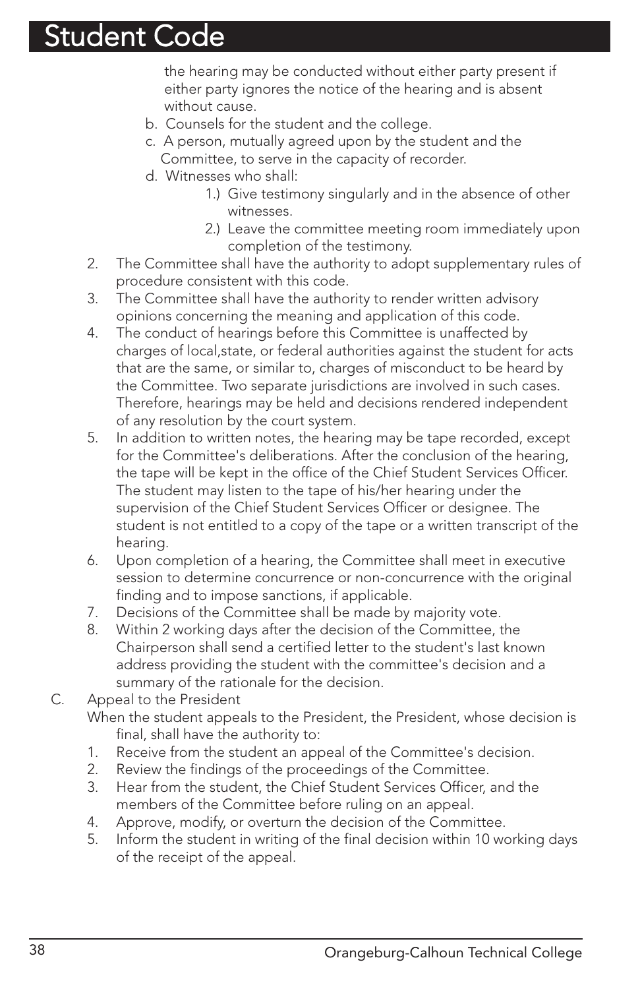the hearing may be conducted without either party present if either party ignores the notice of the hearing and is absent without cause.

- b. Counsels for the student and the college.
- c. A person, mutually agreed upon by the student and the Committee, to serve in the capacity of recorder.
- d. Witnesses who shall:
	- 1.) Give testimony singularly and in the absence of other witnesses.
	- 2.) Leave the committee meeting room immediately upon completion of the testimony.
- 2. The Committee shall have the authority to adopt supplementary rules of procedure consistent with this code.
- 3. The Committee shall have the authority to render written advisory opinions concerning the meaning and application of this code.
- 4. The conduct of hearings before this Committee is unaffected by charges of local,state, or federal authorities against the student for acts that are the same, or similar to, charges of misconduct to be heard by the Committee. Two separate jurisdictions are involved in such cases. Therefore, hearings may be held and decisions rendered independent of any resolution by the court system.
- 5. In addition to written notes, the hearing may be tape recorded, except for the Committee's deliberations. After the conclusion of the hearing, the tape will be kept in the office of the Chief Student Services Officer. The student may listen to the tape of his/her hearing under the supervision of the Chief Student Services Officer or designee. The student is not entitled to a copy of the tape or a written transcript of the hearing.
- 6. Upon completion of a hearing, the Committee shall meet in executive session to determine concurrence or non-concurrence with the original finding and to impose sanctions, if applicable.
- 7. Decisions of the Committee shall be made by majority vote.
- 8. Within 2 working days after the decision of the Committee, the Chairperson shall send a certified letter to the student's last known address providing the student with the committee's decision and a summary of the rationale for the decision.

#### C. Appeal to the President

- When the student appeals to the President, the President, whose decision is final, shall have the authority to:
- 1. Receive from the student an appeal of the Committee's decision.
- 2. Review the findings of the proceedings of the Committee.
- 3. Hear from the student, the Chief Student Services Officer, and the members of the Committee before ruling on an appeal.
- 4. Approve, modify, or overturn the decision of the Committee.
- 5. Inform the student in writing of the final decision within 10 working days of the receipt of the appeal.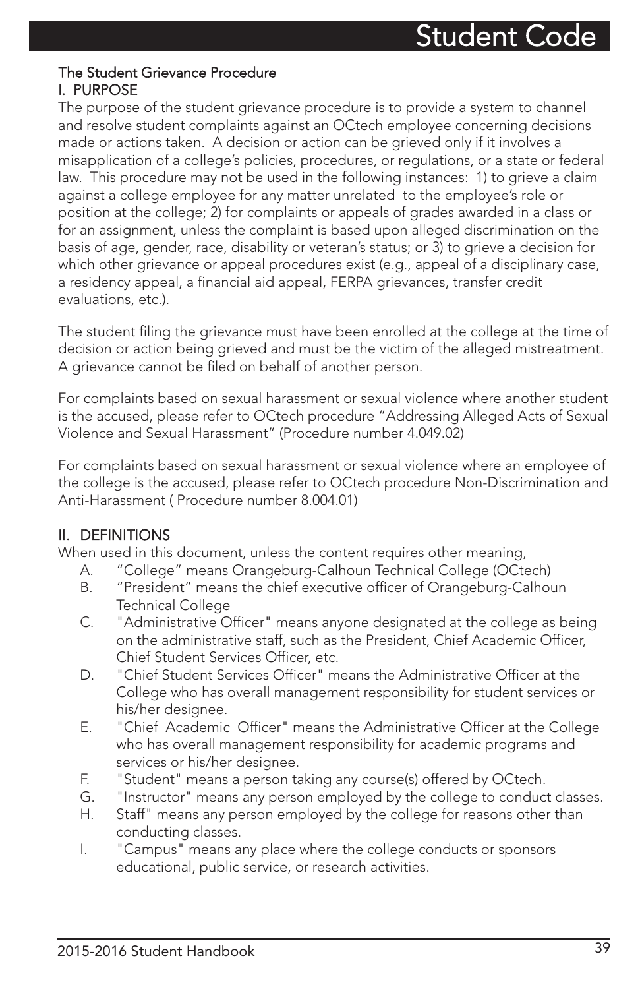#### The Student Grievance Procedure I. PURPOSE

The purpose of the student grievance procedure is to provide a system to channel and resolve student complaints against an OCtech employee concerning decisions made or actions taken. A decision or action can be grieved only if it involves a misapplication of a college's policies, procedures, or regulations, or a state or federal law. This procedure may not be used in the following instances: 1) to grieve a claim against a college employee for any matter unrelated to the employee's role or position at the college; 2) for complaints or appeals of grades awarded in a class or for an assignment, unless the complaint is based upon alleged discrimination on the basis of age, gender, race, disability or veteran's status; or 3) to grieve a decision for which other grievance or appeal procedures exist (e.g., appeal of a disciplinary case, a residency appeal, a financial aid appeal, FERPA grievances, transfer credit evaluations, etc.).

The student filing the grievance must have been enrolled at the college at the time of decision or action being grieved and must be the victim of the alleged mistreatment. A grievance cannot be filed on behalf of another person.

For complaints based on sexual harassment or sexual violence where another student is the accused, please refer to OCtech procedure "Addressing Alleged Acts of Sexual Violence and Sexual Harassment" (Procedure number 4.049.02)

For complaints based on sexual harassment or sexual violence where an employee of the college is the accused, please refer to OCtech procedure Non-Discrimination and Anti-Harassment ( Procedure number 8.004.01)

#### II. DEFINITIONS

When used in this document, unless the content requires other meaning,

- A. "College" means Orangeburg-Calhoun Technical College (OCtech)
- B. "President" means the chief executive officer of Orangeburg-Calhoun Technical College
- C. "Administrative Officer" means anyone designated at the college as being on the administrative staff, such as the President, Chief Academic Officer, Chief Student Services Officer, etc.
- D. "Chief Student Services Officer" means the Administrative Officer at the College who has overall management responsibility for student services or his/her designee.
- E. "Chief Academic Officer" means the Administrative Officer at the College who has overall management responsibility for academic programs and services or his/her designee.
- F. "Student" means a person taking any course(s) offered by OCtech.
- G. "Instructor" means any person employed by the college to conduct classes.
- H. Staff" means any person employed by the college for reasons other than conducting classes.
- I. "Campus" means any place where the college conducts or sponsors educational, public service, or research activities.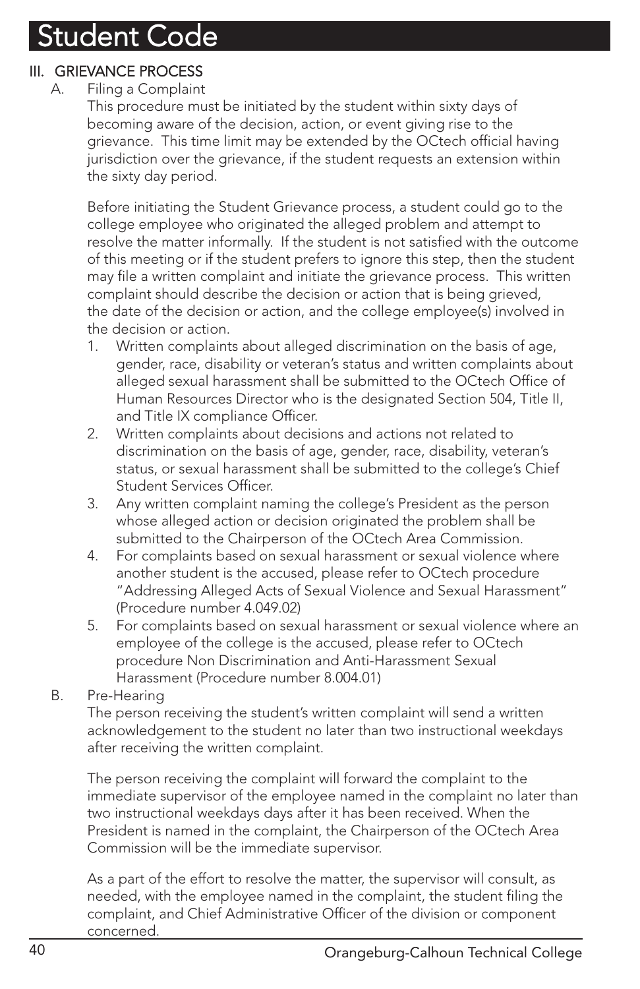#### III. GRIEVANCE PROCESS

#### A. Filing a Complaint

This procedure must be initiated by the student within sixty days of becoming aware of the decision, action, or event giving rise to the grievance. This time limit may be extended by the OCtech official having jurisdiction over the grievance, if the student requests an extension within the sixty day period.

Before initiating the Student Grievance process, a student could go to the college employee who originated the alleged problem and attempt to resolve the matter informally. If the student is not satisfied with the outcome of this meeting or if the student prefers to ignore this step, then the student may file a written complaint and initiate the grievance process. This written complaint should describe the decision or action that is being grieved, the date of the decision or action, and the college employee(s) involved in the decision or action.

- 1. Written complaints about alleged discrimination on the basis of age, gender, race, disability or veteran's status and written complaints about alleged sexual harassment shall be submitted to the OCtech Office of Human Resources Director who is the designated Section 504, Title II, and Title IX compliance Officer.
- 2. Written complaints about decisions and actions not related to discrimination on the basis of age, gender, race, disability, veteran's status, or sexual harassment shall be submitted to the college's Chief Student Services Officer.
- 3. Any written complaint naming the college's President as the person whose alleged action or decision originated the problem shall be submitted to the Chairperson of the OCtech Area Commission.
- 4. For complaints based on sexual harassment or sexual violence where another student is the accused, please refer to OCtech procedure "Addressing Alleged Acts of Sexual Violence and Sexual Harassment" (Procedure number 4.049.02)
- 5. For complaints based on sexual harassment or sexual violence where an employee of the college is the accused, please refer to OCtech procedure Non Discrimination and Anti-Harassment Sexual Harassment (Procedure number 8.004.01)
- B. Pre-Hearing

The person receiving the student's written complaint will send a written acknowledgement to the student no later than two instructional weekdays after receiving the written complaint.

The person receiving the complaint will forward the complaint to the immediate supervisor of the employee named in the complaint no later than two instructional weekdays days after it has been received. When the President is named in the complaint, the Chairperson of the OCtech Area Commission will be the immediate supervisor.

As a part of the effort to resolve the matter, the supervisor will consult, as needed, with the employee named in the complaint, the student filing the complaint, and Chief Administrative Officer of the division or component concerned.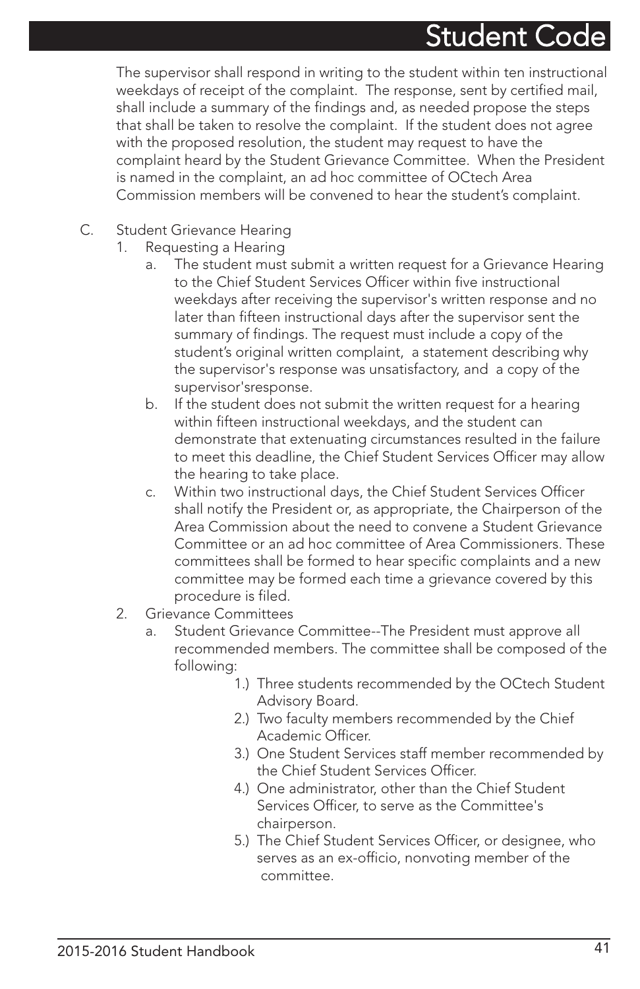The supervisor shall respond in writing to the student within ten instructional weekdays of receipt of the complaint. The response, sent by certified mail, shall include a summary of the findings and, as needed propose the steps that shall be taken to resolve the complaint. If the student does not agree with the proposed resolution, the student may request to have the complaint heard by the Student Grievance Committee. When the President is named in the complaint, an ad hoc committee of OCtech Area Commission members will be convened to hear the student's complaint.

- C. Student Grievance Hearing
	- 1. Requesting a Hearing
		- a. The student must submit a written request for a Grievance Hearing to the Chief Student Services Officer within five instructional weekdays after receiving the supervisor's written response and no later than fifteen instructional days after the supervisor sent the summary of findings. The request must include a copy of the student's original written complaint, a statement describing why the supervisor's response was unsatisfactory, and a copy of the supervisor'sresponse.
		- b. If the student does not submit the written request for a hearing within fifteen instructional weekdays, and the student can demonstrate that extenuating circumstances resulted in the failure to meet this deadline, the Chief Student Services Officer may allow the hearing to take place.
		- c. Within two instructional days, the Chief Student Services Officer shall notify the President or, as appropriate, the Chairperson of the Area Commission about the need to convene a Student Grievance Committee or an ad hoc committee of Area Commissioners. These committees shall be formed to hear specific complaints and a new committee may be formed each time a grievance covered by this procedure is filed.
	- 2. Grievance Committees
		- a. Student Grievance Committee--The President must approve all recommended members. The committee shall be composed of the following:
			- 1.) Three students recommended by the OCtech Student Advisory Board.
			- 2.) Two faculty members recommended by the Chief Academic Officer.
			- 3.) One Student Services staff member recommended by the Chief Student Services Officer.
			- 4.) One administrator, other than the Chief Student Services Officer, to serve as the Committee's chairperson.
			- 5.) The Chief Student Services Officer, or designee, who serves as an ex-officio, nonvoting member of the committee.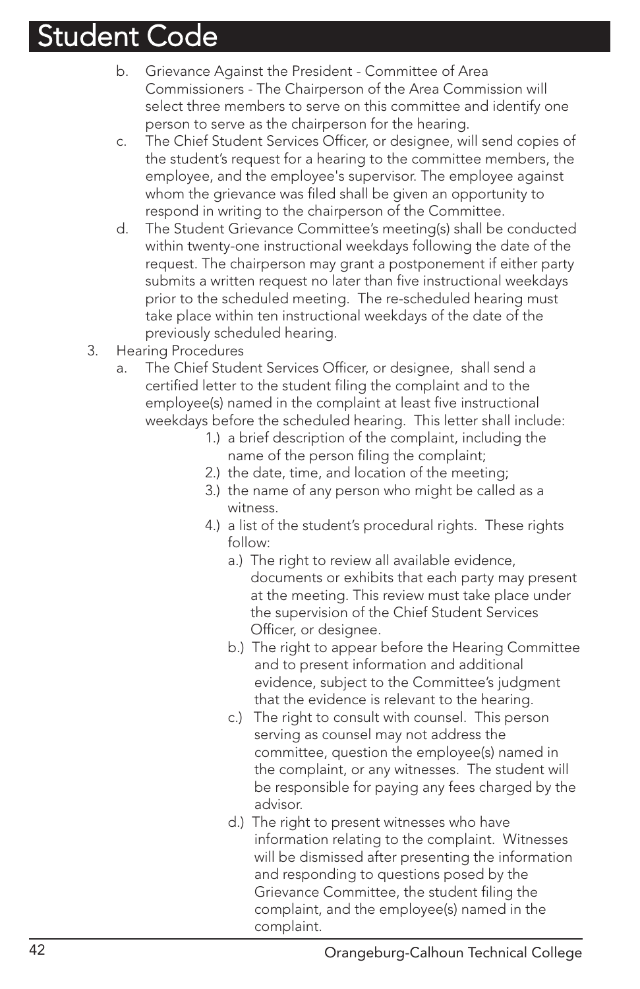- b. Grievance Against the President Committee of Area Commissioners - The Chairperson of the Area Commission will select three members to serve on this committee and identify one person to serve as the chairperson for the hearing.
- c. The Chief Student Services Officer, or designee, will send copies of the student's request for a hearing to the committee members, the employee, and the employee's supervisor. The employee against whom the grievance was filed shall be given an opportunity to respond in writing to the chairperson of the Committee.
- d. The Student Grievance Committee's meeting(s) shall be conducted within twenty-one instructional weekdays following the date of the request. The chairperson may grant a postponement if either party submits a written request no later than five instructional weekdays prior to the scheduled meeting. The re-scheduled hearing must take place within ten instructional weekdays of the date of the previously scheduled hearing.
- 3. Hearing Procedures
	- a. The Chief Student Services Officer, or designee, shall send a certified letter to the student filing the complaint and to the employee(s) named in the complaint at least five instructional weekdays before the scheduled hearing. This letter shall include:
		- 1.) a brief description of the complaint, including the name of the person filing the complaint;
		- 2.) the date, time, and location of the meeting;
		- 3.) the name of any person who might be called as a witness.
		- 4.) a list of the student's procedural rights. These rights follow:
			- a.) The right to review all available evidence, documents or exhibits that each party may present at the meeting. This review must take place under the supervision of the Chief Student Services Officer, or designee.
			- b.) The right to appear before the Hearing Committee and to present information and additional evidence, subject to the Committee's judgment that the evidence is relevant to the hearing.
			- c.) The right to consult with counsel. This person serving as counsel may not address the committee, question the employee(s) named in the complaint, or any witnesses. The student will be responsible for paying any fees charged by the advisor.
			- d.) The right to present witnesses who have information relating to the complaint. Witnesses will be dismissed after presenting the information and responding to questions posed by the Grievance Committee, the student filing the complaint, and the employee(s) named in the complaint.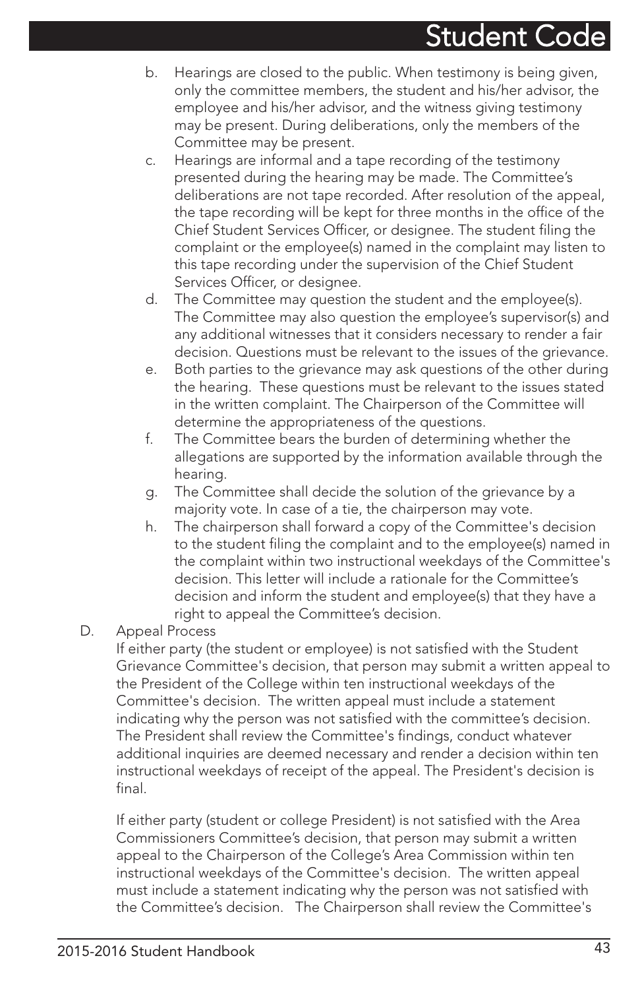- b. Hearings are closed to the public. When testimony is being given, only the committee members, the student and his/her advisor, the employee and his/her advisor, and the witness giving testimony may be present. During deliberations, only the members of the Committee may be present.
- c. Hearings are informal and a tape recording of the testimony presented during the hearing may be made. The Committee's deliberations are not tape recorded. After resolution of the appeal, the tape recording will be kept for three months in the office of the Chief Student Services Officer, or designee. The student filing the complaint or the employee(s) named in the complaint may listen to this tape recording under the supervision of the Chief Student Services Officer, or designee.
- d. The Committee may question the student and the employee(s). The Committee may also question the employee's supervisor(s) and any additional witnesses that it considers necessary to render a fair decision. Questions must be relevant to the issues of the grievance.
- e. Both parties to the grievance may ask questions of the other during the hearing. These questions must be relevant to the issues stated in the written complaint. The Chairperson of the Committee will determine the appropriateness of the questions.
- f. The Committee bears the burden of determining whether the allegations are supported by the information available through the hearing.
- g. The Committee shall decide the solution of the grievance by a majority vote. In case of a tie, the chairperson may vote.
- h. The chairperson shall forward a copy of the Committee's decision to the student filing the complaint and to the employee(s) named in the complaint within two instructional weekdays of the Committee's decision. This letter will include a rationale for the Committee's decision and inform the student and employee(s) that they have a right to appeal the Committee's decision.

#### D. Appeal Process

If either party (the student or employee) is not satisfied with the Student Grievance Committee's decision, that person may submit a written appeal to the President of the College within ten instructional weekdays of the Committee's decision. The written appeal must include a statement indicating why the person was not satisfied with the committee's decision. The President shall review the Committee's findings, conduct whatever additional inquiries are deemed necessary and render a decision within ten instructional weekdays of receipt of the appeal. The President's decision is final.

If either party (student or college President) is not satisfied with the Area Commissioners Committee's decision, that person may submit a written appeal to the Chairperson of the College's Area Commission within ten instructional weekdays of the Committee's decision. The written appeal must include a statement indicating why the person was not satisfied with the Committee's decision. The Chairperson shall review the Committee's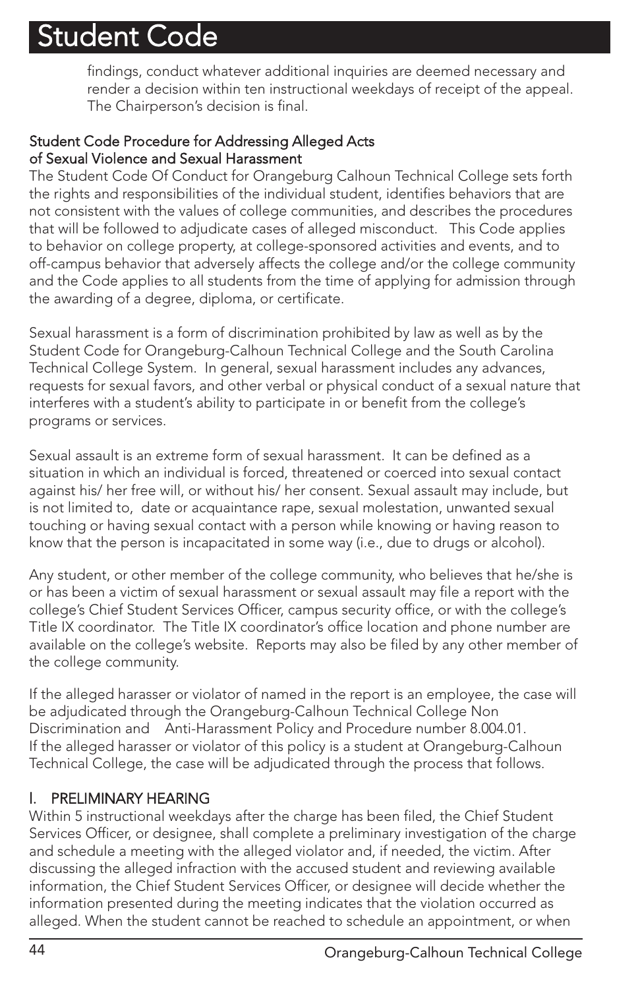findings, conduct whatever additional inquiries are deemed necessary and render a decision within ten instructional weekdays of receipt of the appeal. The Chairperson's decision is final.

#### Student Code Procedure for Addressing Alleged Acts of Sexual Violence and Sexual Harassment

The Student Code Of Conduct for Orangeburg Calhoun Technical College sets forth the rights and responsibilities of the individual student, identifies behaviors that are not consistent with the values of college communities, and describes the procedures that will be followed to adjudicate cases of alleged misconduct. This Code applies to behavior on college property, at college-sponsored activities and events, and to off-campus behavior that adversely affects the college and/or the college community and the Code applies to all students from the time of applying for admission through the awarding of a degree, diploma, or certificate.

Sexual harassment is a form of discrimination prohibited by law as well as by the Student Code for Orangeburg-Calhoun Technical College and the South Carolina Technical College System. In general, sexual harassment includes any advances, requests for sexual favors, and other verbal or physical conduct of a sexual nature that interferes with a student's ability to participate in or benefit from the college's programs or services.

Sexual assault is an extreme form of sexual harassment. It can be defined as a situation in which an individual is forced, threatened or coerced into sexual contact against his/ her free will, or without his/ her consent. Sexual assault may include, but is not limited to, date or acquaintance rape, sexual molestation, unwanted sexual touching or having sexual contact with a person while knowing or having reason to know that the person is incapacitated in some way (i.e., due to drugs or alcohol).

Any student, or other member of the college community, who believes that he/she is or has been a victim of sexual harassment or sexual assault may file a report with the college's Chief Student Services Officer, campus security office, or with the college's Title IX coordinator. The Title IX coordinator's office location and phone number are available on the college's website. Reports may also be filed by any other member of the college community.

If the alleged harasser or violator of named in the report is an employee, the case will be adjudicated through the Orangeburg-Calhoun Technical College Non Discrimination and Anti-Harassment Policy and Procedure number 8.004.01. If the alleged harasser or violator of this policy is a student at Orangeburg-Calhoun Technical College, the case will be adjudicated through the process that follows.

#### l. PRELIMINARY HEARING

Within 5 instructional weekdays after the charge has been filed, the Chief Student Services Officer, or designee, shall complete a preliminary investigation of the charge and schedule a meeting with the alleged violator and, if needed, the victim. After discussing the alleged infraction with the accused student and reviewing available information, the Chief Student Services Officer, or designee will decide whether the information presented during the meeting indicates that the violation occurred as alleged. When the student cannot be reached to schedule an appointment, or when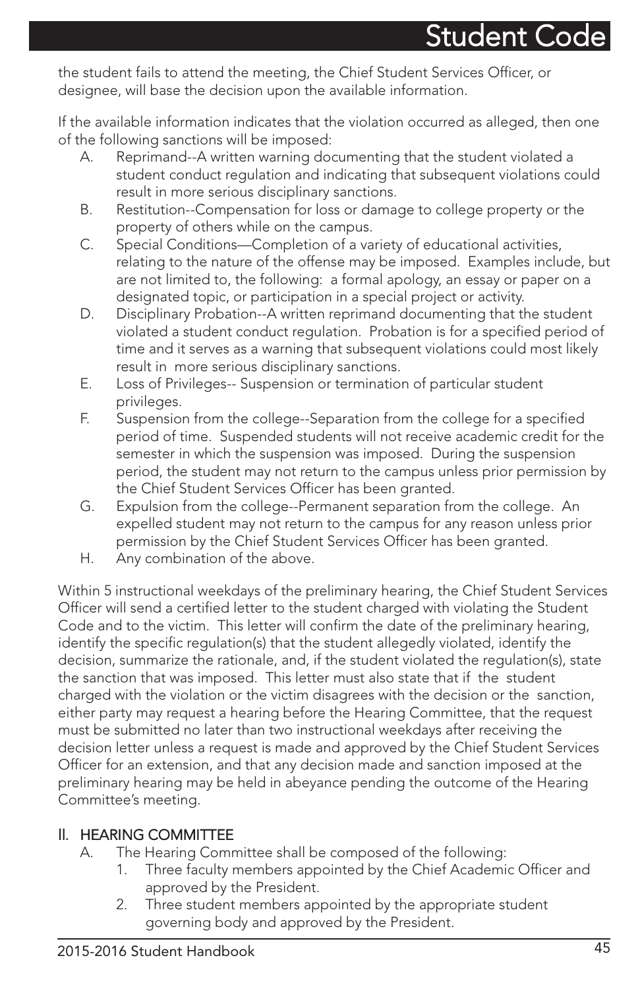the student fails to attend the meeting, the Chief Student Services Officer, or designee, will base the decision upon the available information.

If the available information indicates that the violation occurred as alleged, then one of the following sanctions will be imposed:

- A. Reprimand--A written warning documenting that the student violated a student conduct regulation and indicating that subsequent violations could result in more serious disciplinary sanctions.
- B. Restitution--Compensation for loss or damage to college property or the property of others while on the campus.
- C. Special Conditions—Completion of a variety of educational activities, relating to the nature of the offense may be imposed. Examples include, but are not limited to, the following: a formal apology, an essay or paper on a designated topic, or participation in a special project or activity.
- D. Disciplinary Probation--A written reprimand documenting that the student violated a student conduct regulation. Probation is for a specified period of time and it serves as a warning that subsequent violations could most likely result in more serious disciplinary sanctions.
- E. Loss of Privileges-- Suspension or termination of particular student privileges.
- F. Suspension from the college--Separation from the college for a specified period of time. Suspended students will not receive academic credit for the semester in which the suspension was imposed. During the suspension period, the student may not return to the campus unless prior permission by the Chief Student Services Officer has been granted.
- G. Expulsion from the college--Permanent separation from the college. An expelled student may not return to the campus for any reason unless prior permission by the Chief Student Services Officer has been granted.
- H. Any combination of the above.

Within 5 instructional weekdays of the preliminary hearing, the Chief Student Services Officer will send a certified letter to the student charged with violating the Student Code and to the victim. This letter will confirm the date of the preliminary hearing, identify the specific regulation(s) that the student allegedly violated, identify the decision, summarize the rationale, and, if the student violated the regulation(s), state the sanction that was imposed. This letter must also state that if the student charged with the violation or the victim disagrees with the decision or the sanction, either party may request a hearing before the Hearing Committee, that the request must be submitted no later than two instructional weekdays after receiving the decision letter unless a request is made and approved by the Chief Student Services Officer for an extension, and that any decision made and sanction imposed at the preliminary hearing may be held in abeyance pending the outcome of the Hearing Committee's meeting.

#### ll. HEARING COMMITTEE

- A. The Hearing Committee shall be composed of the following:
	- 1. Three faculty members appointed by the Chief Academic Officer and approved by the President.
	- 2. Three student members appointed by the appropriate student governing body and approved by the President.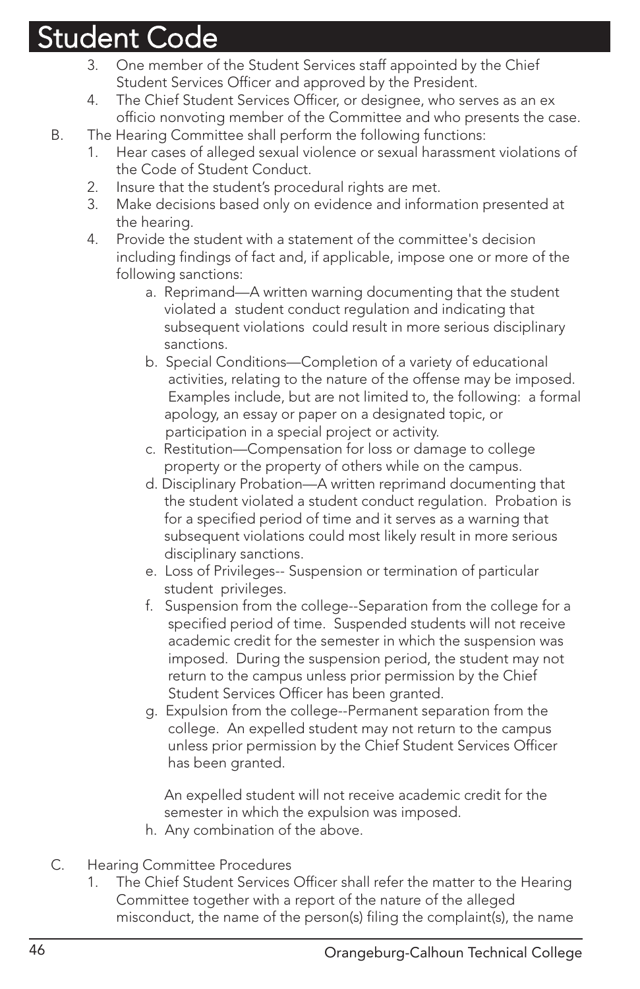- 3. One member of the Student Services staff appointed by the Chief Student Services Officer and approved by the President.
- 4. The Chief Student Services Officer, or designee, who serves as an ex officio nonvoting member of the Committee and who presents the case.
- B. The Hearing Committee shall perform the following functions:
	- 1. Hear cases of alleged sexual violence or sexual harassment violations of the Code of Student Conduct.
	- 2. Insure that the student's procedural rights are met.
	- 3. Make decisions based only on evidence and information presented at the hearing.
	- 4. Provide the student with a statement of the committee's decision including findings of fact and, if applicable, impose one or more of the following sanctions:
		- a. Reprimand—A written warning documenting that the student violated a student conduct regulation and indicating that subsequent violations could result in more serious disciplinary sanctions.
		- b. Special Conditions—Completion of a variety of educational activities, relating to the nature of the offense may be imposed. Examples include, but are not limited to, the following: a formal apology, an essay or paper on a designated topic, or participation in a special project or activity.
		- c. Restitution—Compensation for loss or damage to college property or the property of others while on the campus.
		- d. Disciplinary Probation—A written reprimand documenting that the student violated a student conduct regulation. Probation is for a specified period of time and it serves as a warning that subsequent violations could most likely result in more serious disciplinary sanctions.
		- e. Loss of Privileges-- Suspension or termination of particular student privileges.
		- f. Suspension from the college--Separation from the college for a specified period of time. Suspended students will not receive academic credit for the semester in which the suspension was imposed. During the suspension period, the student may not return to the campus unless prior permission by the Chief Student Services Officer has been granted.
		- g. Expulsion from the college--Permanent separation from the college. An expelled student may not return to the campus unless prior permission by the Chief Student Services Officer has been granted.

An expelled student will not receive academic credit for the semester in which the expulsion was imposed.

- h. Any combination of the above.
- C. Hearing Committee Procedures
	- 1. The Chief Student Services Officer shall refer the matter to the Hearing Committee together with a report of the nature of the alleged misconduct, the name of the person(s) filing the complaint(s), the name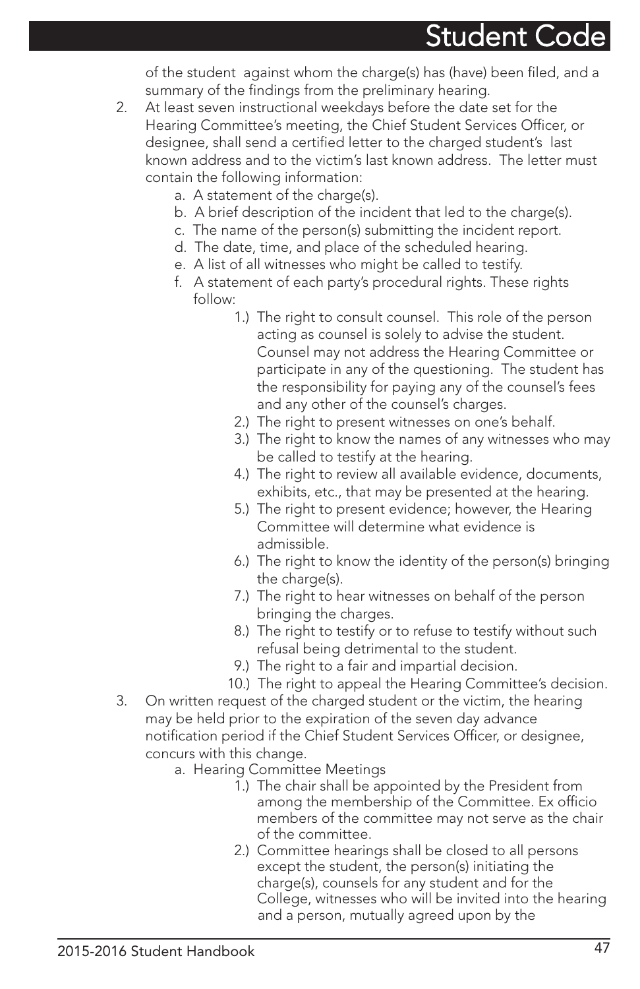of the student against whom the charge(s) has (have) been filed, and a summary of the findings from the preliminary hearing.

- 2. At least seven instructional weekdays before the date set for the Hearing Committee's meeting, the Chief Student Services Officer, or designee, shall send a certified letter to the charged student's last known address and to the victim's last known address. The letter must contain the following information:
	- a. A statement of the charge(s).
	- b. A brief description of the incident that led to the charge(s).
	- c. The name of the person(s) submitting the incident report.
	- d. The date, time, and place of the scheduled hearing.
	- e. A list of all witnesses who might be called to testify.
	- f. A statement of each party's procedural rights. These rights follow:
		- 1.) The right to consult counsel. This role of the person acting as counsel is solely to advise the student. Counsel may not address the Hearing Committee or participate in any of the questioning. The student has the responsibility for paying any of the counsel's fees and any other of the counsel's charges.
		- 2.) The right to present witnesses on one's behalf.
		- 3.) The right to know the names of any witnesses who may be called to testify at the hearing.
		- 4.) The right to review all available evidence, documents, exhibits, etc., that may be presented at the hearing.
		- 5.) The right to present evidence; however, the Hearing Committee will determine what evidence is admissible.
		- 6.) The right to know the identity of the person(s) bringing the charge(s).
		- 7.) The right to hear witnesses on behalf of the person bringing the charges.
		- 8.) The right to testify or to refuse to testify without such refusal being detrimental to the student.
		- 9.) The right to a fair and impartial decision.
		- 10.) The right to appeal the Hearing Committee's decision.
- 3. On written request of the charged student or the victim, the hearing may be held prior to the expiration of the seven day advance notification period if the Chief Student Services Officer, or designee, concurs with this change.
	- a. Hearing Committee Meetings
		- 1.) The chair shall be appointed by the President from among the membership of the Committee. Ex officio members of the committee may not serve as the chair of the committee.
		- 2.) Committee hearings shall be closed to all persons except the student, the person(s) initiating the charge(s), counsels for any student and for the College, witnesses who will be invited into the hearing and a person, mutually agreed upon by the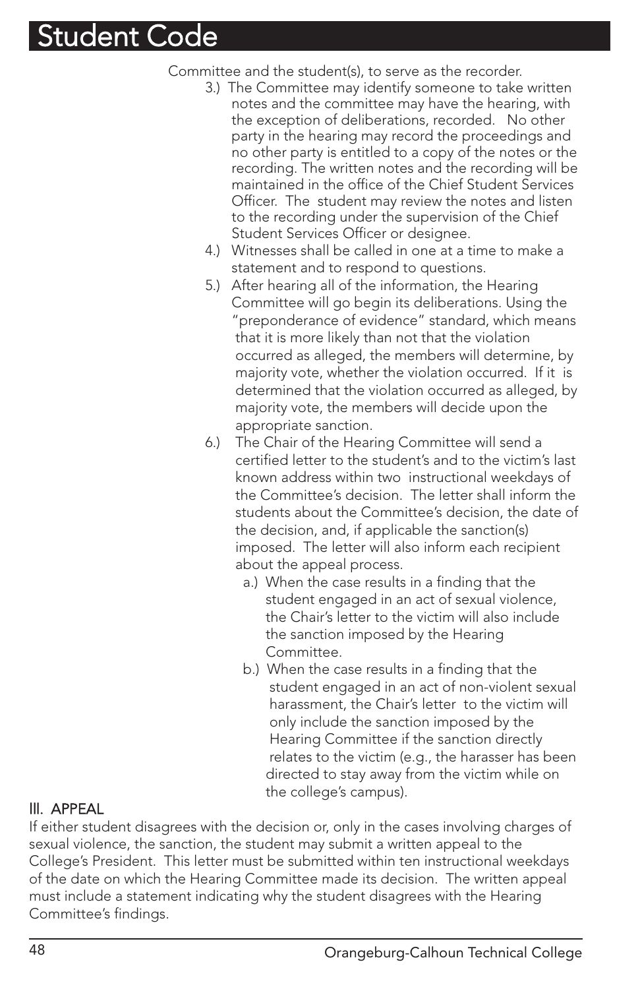Committee and the student(s), to serve as the recorder.

- 3.) The Committee may identify someone to take written notes and the committee may have the hearing, with the exception of deliberations, recorded. No other party in the hearing may record the proceedings and no other party is entitled to a copy of the notes or the recording. The written notes and the recording will be maintained in the office of the Chief Student Services Officer. The student may review the notes and listen to the recording under the supervision of the Chief Student Services Officer or designee.
- 4.) Witnesses shall be called in one at a time to make a statement and to respond to questions.
- 5.) After hearing all of the information, the Hearing Committee will go begin its deliberations. Using the "preponderance of evidence" standard, which means that it is more likely than not that the violation occurred as alleged, the members will determine, by majority vote, whether the violation occurred. If it is determined that the violation occurred as alleged, by majority vote, the members will decide upon the appropriate sanction.
- 6.) The Chair of the Hearing Committee will send a certified letter to the student's and to the victim's last known address within two instructional weekdays of the Committee's decision. The letter shall inform the students about the Committee's decision, the date of the decision, and, if applicable the sanction(s) imposed. The letter will also inform each recipient about the appeal process.
	- a.) When the case results in a finding that the student engaged in an act of sexual violence, the Chair's letter to the victim will also include the sanction imposed by the Hearing Committee.
	- b.) When the case results in a finding that the student engaged in an act of non-violent sexual harassment, the Chair's letter to the victim will only include the sanction imposed by the Hearing Committee if the sanction directly relates to the victim (e.g., the harasser has been directed to stay away from the victim while on the college's campus).

#### lll. APPEAL

If either student disagrees with the decision or, only in the cases involving charges of sexual violence, the sanction, the student may submit a written appeal to the College's President. This letter must be submitted within ten instructional weekdays of the date on which the Hearing Committee made its decision. The written appeal must include a statement indicating why the student disagrees with the Hearing Committee's findings.